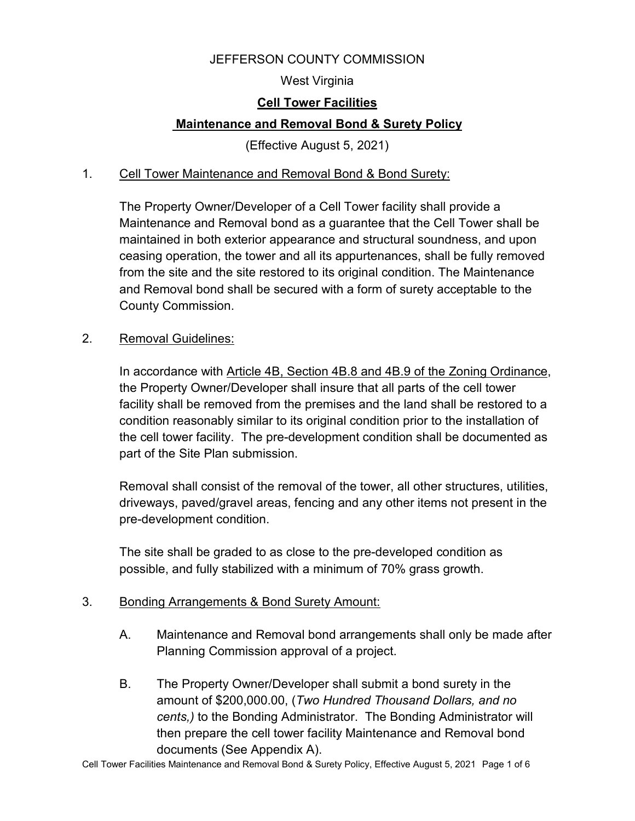#### JEFFERSON COUNTY COMMISSION

#### West Virginia

#### **Cell Tower Facilities**

#### **Maintenance and Removal Bond & Surety Policy**

(Effective August 5, 2021)

#### 1. Cell Tower Maintenance and Removal Bond & Bond Surety:

The Property Owner/Developer of a Cell Tower facility shall provide a Maintenance and Removal bond as a guarantee that the Cell Tower shall be maintained in both exterior appearance and structural soundness, and upon ceasing operation, the tower and all its appurtenances, shall be fully removed from the site and the site restored to its original condition. The Maintenance and Removal bond shall be secured with a form of surety acceptable to the County Commission.

#### 2. Removal Guidelines:

In accordance with Article 4B, Section 4B.8 and 4B.9 of the Zoning Ordinance, the Property Owner/Developer shall insure that all parts of the cell tower facility shall be removed from the premises and the land shall be restored to a condition reasonably similar to its original condition prior to the installation of the cell tower facility. The pre-development condition shall be documented as part of the Site Plan submission.

Removal shall consist of the removal of the tower, all other structures, utilities, driveways, paved/gravel areas, fencing and any other items not present in the pre-development condition.

The site shall be graded to as close to the pre-developed condition as possible, and fully stabilized with a minimum of 70% grass growth.

#### 3. Bonding Arrangements & Bond Surety Amount:

- A. Maintenance and Removal bond arrangements shall only be made after Planning Commission approval of a project.
- B. The Property Owner/Developer shall submit a bond surety in the amount of \$200,000.00, (*Two Hundred Thousand Dollars, and no cents,)* to the Bonding Administrator. The Bonding Administrator will then prepare the cell tower facility Maintenance and Removal bond documents (See Appendix A).

Cell Tower Facilities Maintenance and Removal Bond & Surety Policy, Effective August 5, 2021 Page 1 of 6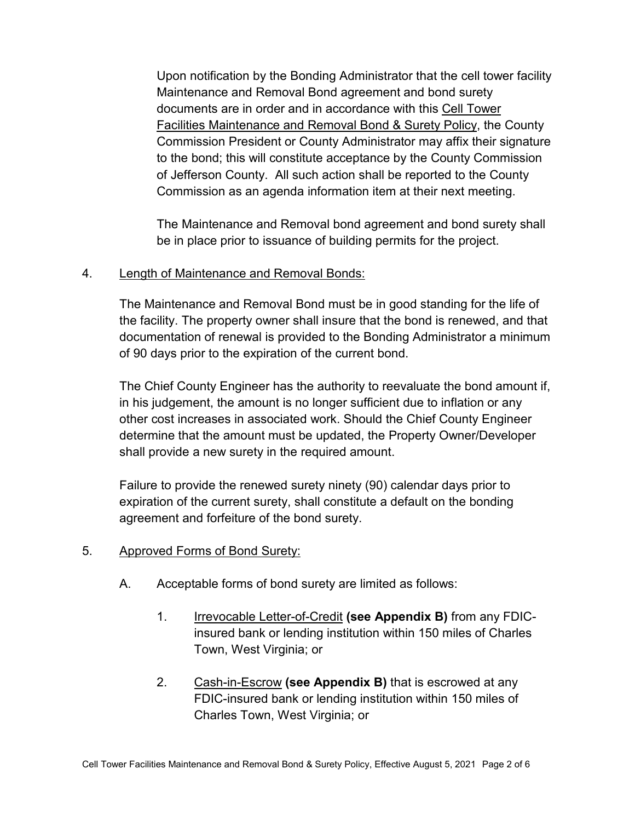Upon notification by the Bonding Administrator that the cell tower facility Maintenance and Removal Bond agreement and bond surety documents are in order and in accordance with this Cell Tower Facilities Maintenance and Removal Bond & Surety Policy, the County Commission President or County Administrator may affix their signature to the bond; this will constitute acceptance by the County Commission of Jefferson County. All such action shall be reported to the County Commission as an agenda information item at their next meeting.

The Maintenance and Removal bond agreement and bond surety shall be in place prior to issuance of building permits for the project.

#### 4. Length of Maintenance and Removal Bonds:

The Maintenance and Removal Bond must be in good standing for the life of the facility. The property owner shall insure that the bond is renewed, and that documentation of renewal is provided to the Bonding Administrator a minimum of 90 days prior to the expiration of the current bond.

The Chief County Engineer has the authority to reevaluate the bond amount if, in his judgement, the amount is no longer sufficient due to inflation or any other cost increases in associated work. Should the Chief County Engineer determine that the amount must be updated, the Property Owner/Developer shall provide a new surety in the required amount.

Failure to provide the renewed surety ninety (90) calendar days prior to expiration of the current surety, shall constitute a default on the bonding agreement and forfeiture of the bond surety.

#### 5. Approved Forms of Bond Surety:

- A. Acceptable forms of bond surety are limited as follows:
	- 1. Irrevocable Letter-of-Credit **(see Appendix B)** from any FDICinsured bank or lending institution within 150 miles of Charles Town, West Virginia; or
	- 2. Cash-in-Escrow **(see Appendix B)** that is escrowed at any FDIC-insured bank or lending institution within 150 miles of Charles Town, West Virginia; or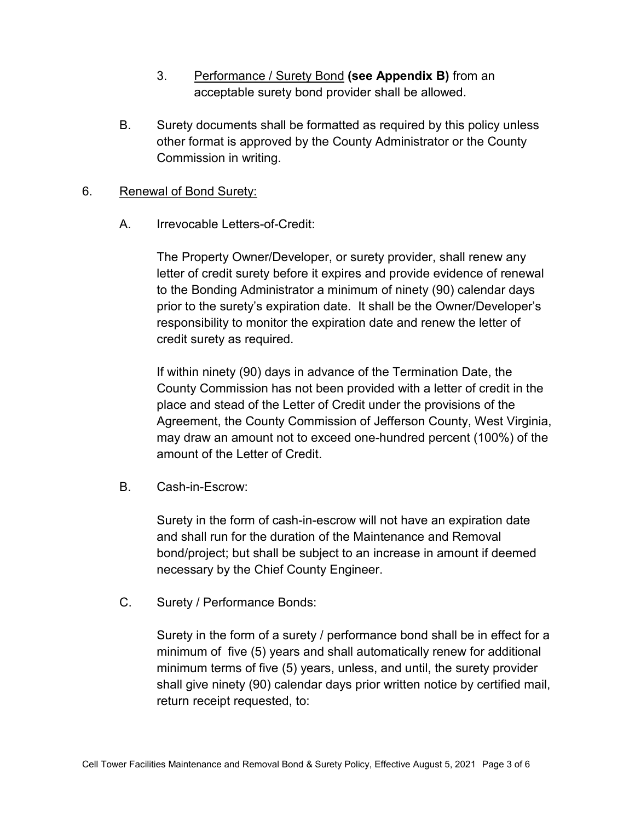- 3. Performance / Surety Bond **(see Appendix B)** from an acceptable surety bond provider shall be allowed.
- B. Surety documents shall be formatted as required by this policy unless other format is approved by the County Administrator or the County Commission in writing.

#### 6. Renewal of Bond Surety:

A. Irrevocable Letters-of-Credit:

The Property Owner/Developer, or surety provider, shall renew any letter of credit surety before it expires and provide evidence of renewal to the Bonding Administrator a minimum of ninety (90) calendar days prior to the surety's expiration date. It shall be the Owner/Developer's responsibility to monitor the expiration date and renew the letter of credit surety as required.

If within ninety (90) days in advance of the Termination Date, the County Commission has not been provided with a letter of credit in the place and stead of the Letter of Credit under the provisions of the Agreement, the County Commission of Jefferson County, West Virginia, may draw an amount not to exceed one-hundred percent (100%) of the amount of the Letter of Credit.

B. Cash-in-Escrow:

Surety in the form of cash-in-escrow will not have an expiration date and shall run for the duration of the Maintenance and Removal bond/project; but shall be subject to an increase in amount if deemed necessary by the Chief County Engineer.

C. Surety / Performance Bonds:

Surety in the form of a surety / performance bond shall be in effect for a minimum of five (5) years and shall automatically renew for additional minimum terms of five (5) years, unless, and until, the surety provider shall give ninety (90) calendar days prior written notice by certified mail, return receipt requested, to: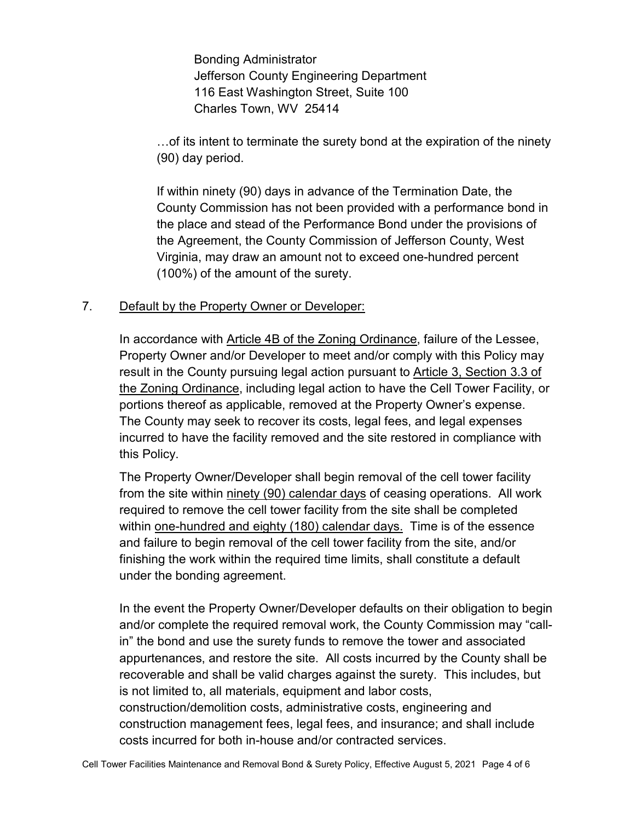Bonding Administrator Jefferson County Engineering Department 116 East Washington Street, Suite 100 Charles Town, WV 25414

…of its intent to terminate the surety bond at the expiration of the ninety (90) day period.

If within ninety (90) days in advance of the Termination Date, the County Commission has not been provided with a performance bond in the place and stead of the Performance Bond under the provisions of the Agreement, the County Commission of Jefferson County, West Virginia, may draw an amount not to exceed one-hundred percent (100%) of the amount of the surety.

#### 7. Default by the Property Owner or Developer:

In accordance with Article 4B of the Zoning Ordinance, failure of the Lessee, Property Owner and/or Developer to meet and/or comply with this Policy may result in the County pursuing legal action pursuant to Article 3, Section 3.3 of the Zoning Ordinance, including legal action to have the Cell Tower Facility, or portions thereof as applicable, removed at the Property Owner's expense. The County may seek to recover its costs, legal fees, and legal expenses incurred to have the facility removed and the site restored in compliance with this Policy.

The Property Owner/Developer shall begin removal of the cell tower facility from the site within ninety (90) calendar days of ceasing operations. All work required to remove the cell tower facility from the site shall be completed within one-hundred and eighty (180) calendar days. Time is of the essence and failure to begin removal of the cell tower facility from the site, and/or finishing the work within the required time limits, shall constitute a default under the bonding agreement.

In the event the Property Owner/Developer defaults on their obligation to begin and/or complete the required removal work, the County Commission may "callin" the bond and use the surety funds to remove the tower and associated appurtenances, and restore the site. All costs incurred by the County shall be recoverable and shall be valid charges against the surety. This includes, but is not limited to, all materials, equipment and labor costs, construction/demolition costs, administrative costs, engineering and construction management fees, legal fees, and insurance; and shall include costs incurred for both in-house and/or contracted services.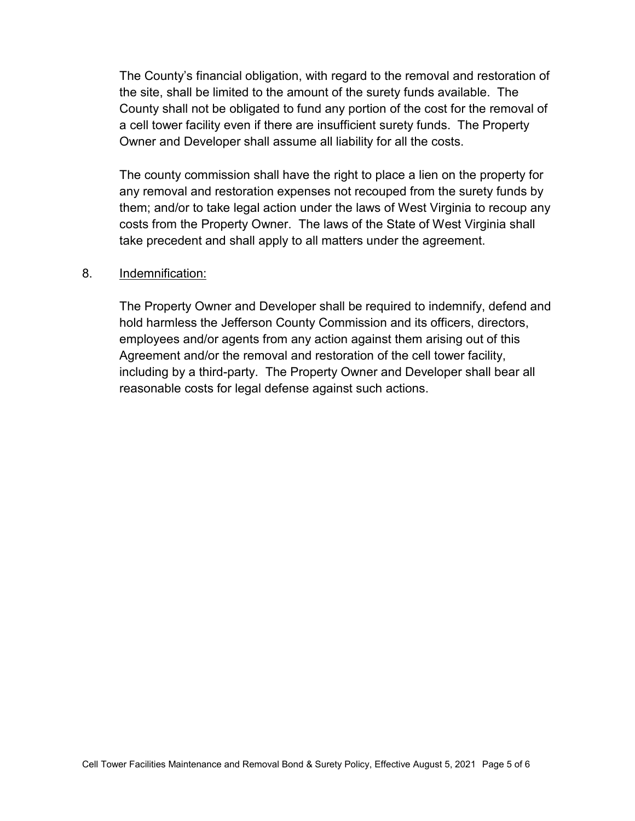The County's financial obligation, with regard to the removal and restoration of the site, shall be limited to the amount of the surety funds available. The County shall not be obligated to fund any portion of the cost for the removal of a cell tower facility even if there are insufficient surety funds. The Property Owner and Developer shall assume all liability for all the costs.

The county commission shall have the right to place a lien on the property for any removal and restoration expenses not recouped from the surety funds by them; and/or to take legal action under the laws of West Virginia to recoup any costs from the Property Owner. The laws of the State of West Virginia shall take precedent and shall apply to all matters under the agreement.

#### 8. Indemnification:

The Property Owner and Developer shall be required to indemnify, defend and hold harmless the Jefferson County Commission and its officers, directors, employees and/or agents from any action against them arising out of this Agreement and/or the removal and restoration of the cell tower facility, including by a third-party. The Property Owner and Developer shall bear all reasonable costs for legal defense against such actions.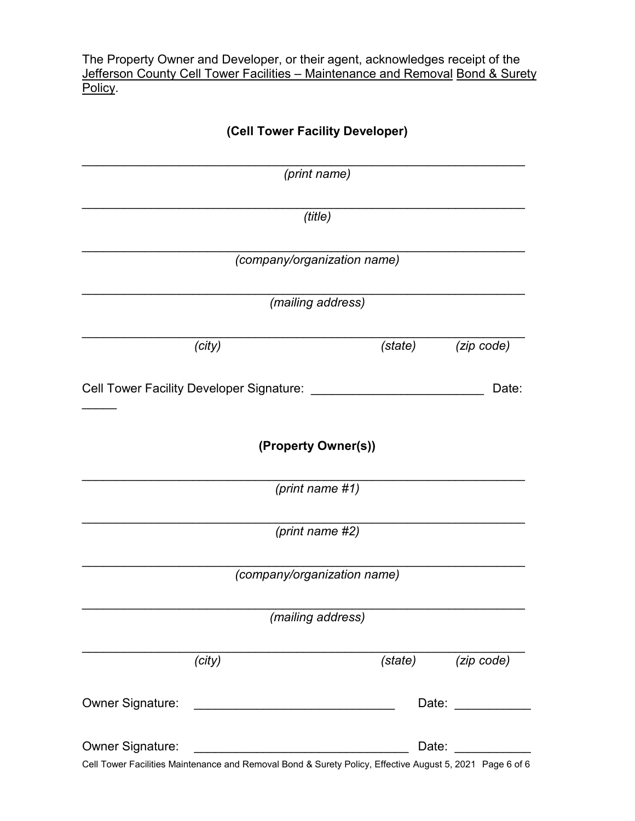The Property Owner and Developer, or their agent, acknowledges receipt of the Jefferson County Cell Tower Facilities – Maintenance and Removal Bond & Surety Policy.

| (Cell Tower Facility Developer)                                                                                                                 |         |                                                                                                                                                                                                                                |  |
|-------------------------------------------------------------------------------------------------------------------------------------------------|---------|--------------------------------------------------------------------------------------------------------------------------------------------------------------------------------------------------------------------------------|--|
| (print name)                                                                                                                                    |         |                                                                                                                                                                                                                                |  |
| (title)                                                                                                                                         |         |                                                                                                                                                                                                                                |  |
| (company/organization name)                                                                                                                     |         |                                                                                                                                                                                                                                |  |
| (mailing address)                                                                                                                               |         |                                                                                                                                                                                                                                |  |
| (city)                                                                                                                                          | (state) | (zip code)                                                                                                                                                                                                                     |  |
| <b>Cell Tower Facility Developer Signature:</b>                                                                                                 |         | Date:                                                                                                                                                                                                                          |  |
| (Property Owner(s))                                                                                                                             |         |                                                                                                                                                                                                                                |  |
| (print name #1)                                                                                                                                 |         |                                                                                                                                                                                                                                |  |
| (print name #2)                                                                                                                                 |         |                                                                                                                                                                                                                                |  |
| (company/organization name)                                                                                                                     |         |                                                                                                                                                                                                                                |  |
| (mailing address)                                                                                                                               |         |                                                                                                                                                                                                                                |  |
| (city)                                                                                                                                          | (state) | (zip code)                                                                                                                                                                                                                     |  |
| <b>Owner Signature:</b><br><u> 1989 - Johann John Stone, mars eta bat eta bat eta bat eta bat eta bat eta bat eta bat eta bat eta bat eta b</u> |         | Date: the contract of the contract of the contract of the contract of the contract of the contract of the contract of the contract of the contract of the contract of the contract of the contract of the contract of the cont |  |
| <b>Owner Signature:</b><br>Cell Tower Eacilities Maintenance and Removal Bond & Surety Policy, Effective August 5, 2021, Page 6 of 6            | Date:   |                                                                                                                                                                                                                                |  |

Cell Tower Facilities Maintenance and Removal Bond & Surety Policy, Effective August 5, 2021 Page 6 of 6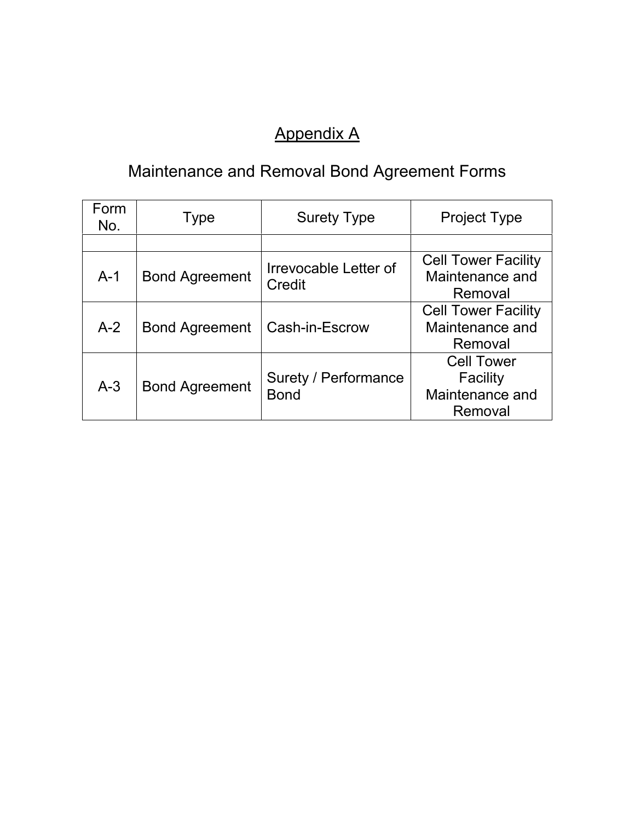# Appendix A

# Maintenance and Removal Bond Agreement Forms

| Form<br>No. | <b>Type</b>           | <b>Surety Type</b>                  | <b>Project Type</b>                                         |
|-------------|-----------------------|-------------------------------------|-------------------------------------------------------------|
|             |                       |                                     |                                                             |
| $A-1$       | <b>Bond Agreement</b> | Irrevocable Letter of<br>Credit     | <b>Cell Tower Facility</b><br>Maintenance and<br>Removal    |
| $A-2$       | <b>Bond Agreement</b> | Cash-in-Escrow                      | <b>Cell Tower Facility</b><br>Maintenance and<br>Removal    |
| $A-3$       | <b>Bond Agreement</b> | Surety / Performance<br><b>Bond</b> | <b>Cell Tower</b><br>Facility<br>Maintenance and<br>Removal |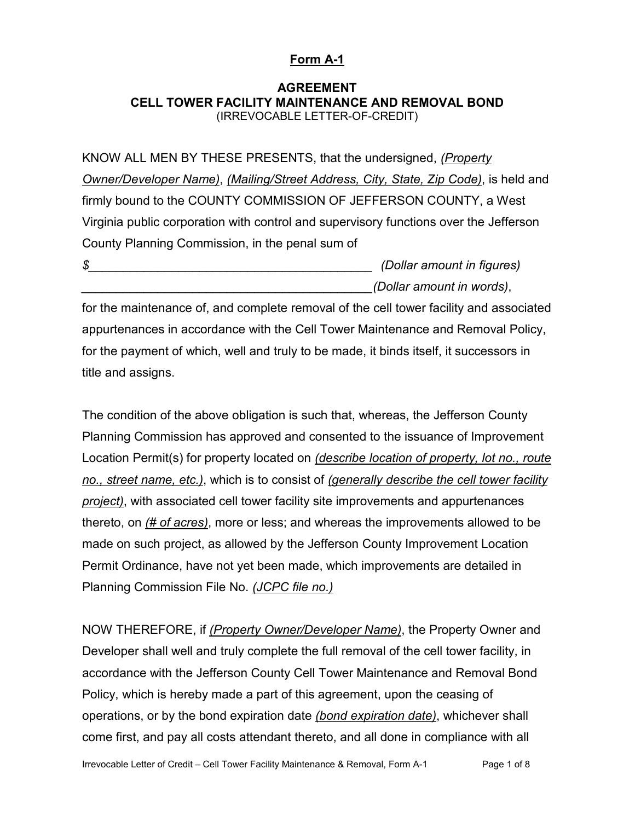#### **Form A-1**

#### **AGREEMENT CELL TOWER FACILITY MAINTENANCE AND REMOVAL BOND** (IRREVOCABLE LETTER-OF-CREDIT)

KNOW ALL MEN BY THESE PRESENTS, that the undersigned, *(Property Owner/Developer Name)*, *(Mailing/Street Address, City, State, Zip Code)*, is held and firmly bound to the COUNTY COMMISSION OF JEFFERSON COUNTY, a West Virginia public corporation with control and supervisory functions over the Jefferson County Planning Commission, in the penal sum of

*\$\_\_\_\_\_\_\_\_\_\_\_\_\_\_\_\_\_\_\_\_\_\_\_\_\_\_\_\_\_\_\_\_\_\_\_\_\_\_\_\_\_ (Dollar amount in figures) \_\_\_\_\_\_\_\_\_\_\_\_\_\_\_\_\_\_\_\_\_\_\_\_\_\_\_\_\_\_\_\_\_\_\_\_\_\_\_\_\_\_(Dollar amount in words)*,

for the maintenance of, and complete removal of the cell tower facility and associated appurtenances in accordance with the Cell Tower Maintenance and Removal Policy, for the payment of which, well and truly to be made, it binds itself, it successors in title and assigns.

The condition of the above obligation is such that, whereas, the Jefferson County Planning Commission has approved and consented to the issuance of Improvement Location Permit(s) for property located on *(describe location of property, lot no., route no., street name, etc.)*, which is to consist of *(generally describe the cell tower facility project)*, with associated cell tower facility site improvements and appurtenances thereto, on *(# of acres)*, more or less; and whereas the improvements allowed to be made on such project, as allowed by the Jefferson County Improvement Location Permit Ordinance, have not yet been made, which improvements are detailed in Planning Commission File No. *(JCPC file no.)*

NOW THEREFORE, if *(Property Owner/Developer Name)*, the Property Owner and Developer shall well and truly complete the full removal of the cell tower facility, in accordance with the Jefferson County Cell Tower Maintenance and Removal Bond Policy, which is hereby made a part of this agreement, upon the ceasing of operations, or by the bond expiration date *(bond expiration date)*, whichever shall come first, and pay all costs attendant thereto, and all done in compliance with all

Irrevocable Letter of Credit – Cell Tower Facility Maintenance & Removal, Form A-1 Page 1 of 8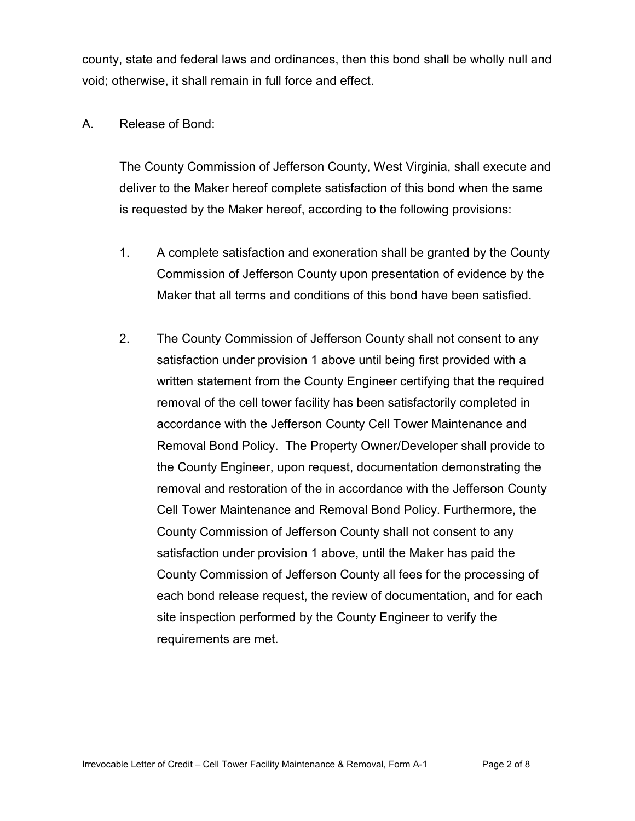county, state and federal laws and ordinances, then this bond shall be wholly null and void; otherwise, it shall remain in full force and effect.

#### A. Release of Bond:

The County Commission of Jefferson County, West Virginia, shall execute and deliver to the Maker hereof complete satisfaction of this bond when the same is requested by the Maker hereof, according to the following provisions:

- 1. A complete satisfaction and exoneration shall be granted by the County Commission of Jefferson County upon presentation of evidence by the Maker that all terms and conditions of this bond have been satisfied.
- 2. The County Commission of Jefferson County shall not consent to any satisfaction under provision 1 above until being first provided with a written statement from the County Engineer certifying that the required removal of the cell tower facility has been satisfactorily completed in accordance with the Jefferson County Cell Tower Maintenance and Removal Bond Policy. The Property Owner/Developer shall provide to the County Engineer, upon request, documentation demonstrating the removal and restoration of the in accordance with the Jefferson County Cell Tower Maintenance and Removal Bond Policy. Furthermore, the County Commission of Jefferson County shall not consent to any satisfaction under provision 1 above, until the Maker has paid the County Commission of Jefferson County all fees for the processing of each bond release request, the review of documentation, and for each site inspection performed by the County Engineer to verify the requirements are met.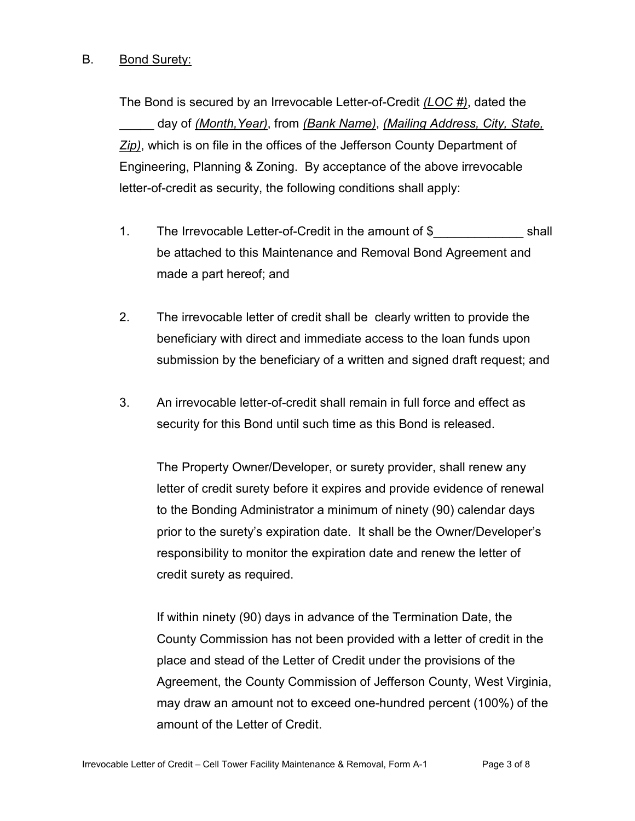#### B. Bond Surety:

The Bond is secured by an Irrevocable Letter-of-Credit *(LOC #)*, dated the \_\_\_\_\_ day of *(Month,Year)*, from *(Bank Name)*, *(Mailing Address, City, State, Zip)*, which is on file in the offices of the Jefferson County Department of Engineering, Planning & Zoning. By acceptance of the above irrevocable letter-of-credit as security, the following conditions shall apply:

- 1. The Irrevocable Letter-of-Credit in the amount of \$ shall be attached to this Maintenance and Removal Bond Agreement and made a part hereof; and
- 2. The irrevocable letter of credit shall be clearly written to provide the beneficiary with direct and immediate access to the loan funds upon submission by the beneficiary of a written and signed draft request; and
- 3. An irrevocable letter-of-credit shall remain in full force and effect as security for this Bond until such time as this Bond is released.

The Property Owner/Developer, or surety provider, shall renew any letter of credit surety before it expires and provide evidence of renewal to the Bonding Administrator a minimum of ninety (90) calendar days prior to the surety's expiration date. It shall be the Owner/Developer's responsibility to monitor the expiration date and renew the letter of credit surety as required.

If within ninety (90) days in advance of the Termination Date, the County Commission has not been provided with a letter of credit in the place and stead of the Letter of Credit under the provisions of the Agreement, the County Commission of Jefferson County, West Virginia, may draw an amount not to exceed one-hundred percent (100%) of the amount of the Letter of Credit.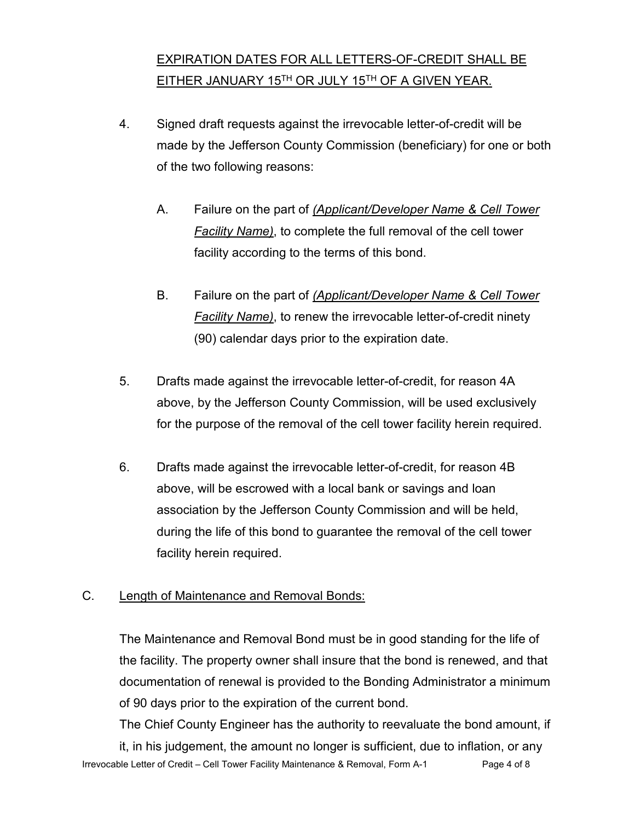### EXPIRATION DATES FOR ALL LETTERS-OF-CREDIT SHALL BE EITHER JANUARY 15TH OR JULY 15TH OF A GIVEN YEAR.

- 4. Signed draft requests against the irrevocable letter-of-credit will be made by the Jefferson County Commission (beneficiary) for one or both of the two following reasons:
	- A. Failure on the part of *(Applicant/Developer Name & Cell Tower Facility Name)*, to complete the full removal of the cell tower facility according to the terms of this bond.
	- B. Failure on the part of *(Applicant/Developer Name & Cell Tower Facility Name)*, to renew the irrevocable letter-of-credit ninety (90) calendar days prior to the expiration date.
- 5. Drafts made against the irrevocable letter-of-credit, for reason 4A above, by the Jefferson County Commission, will be used exclusively for the purpose of the removal of the cell tower facility herein required.
- 6. Drafts made against the irrevocable letter-of-credit, for reason 4B above, will be escrowed with a local bank or savings and loan association by the Jefferson County Commission and will be held, during the life of this bond to guarantee the removal of the cell tower facility herein required.

#### C. Length of Maintenance and Removal Bonds:

The Maintenance and Removal Bond must be in good standing for the life of the facility. The property owner shall insure that the bond is renewed, and that documentation of renewal is provided to the Bonding Administrator a minimum of 90 days prior to the expiration of the current bond.

Irrevocable Letter of Credit – Cell Tower Facility Maintenance & Removal, Form A-1 Page 4 of 8 The Chief County Engineer has the authority to reevaluate the bond amount, if it, in his judgement, the amount no longer is sufficient, due to inflation, or any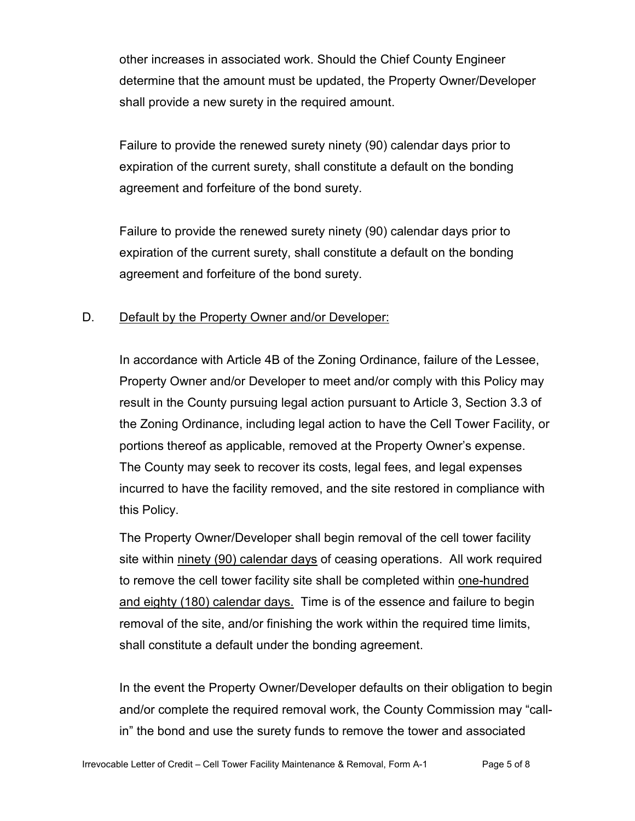other increases in associated work. Should the Chief County Engineer determine that the amount must be updated, the Property Owner/Developer shall provide a new surety in the required amount.

Failure to provide the renewed surety ninety (90) calendar days prior to expiration of the current surety, shall constitute a default on the bonding agreement and forfeiture of the bond surety.

Failure to provide the renewed surety ninety (90) calendar days prior to expiration of the current surety, shall constitute a default on the bonding agreement and forfeiture of the bond surety.

#### D. Default by the Property Owner and/or Developer:

In accordance with Article 4B of the Zoning Ordinance, failure of the Lessee, Property Owner and/or Developer to meet and/or comply with this Policy may result in the County pursuing legal action pursuant to Article 3, Section 3.3 of the Zoning Ordinance, including legal action to have the Cell Tower Facility, or portions thereof as applicable, removed at the Property Owner's expense. The County may seek to recover its costs, legal fees, and legal expenses incurred to have the facility removed, and the site restored in compliance with this Policy.

The Property Owner/Developer shall begin removal of the cell tower facility site within ninety (90) calendar days of ceasing operations. All work required to remove the cell tower facility site shall be completed within one-hundred and eighty (180) calendar days. Time is of the essence and failure to begin removal of the site, and/or finishing the work within the required time limits, shall constitute a default under the bonding agreement.

In the event the Property Owner/Developer defaults on their obligation to begin and/or complete the required removal work, the County Commission may "callin" the bond and use the surety funds to remove the tower and associated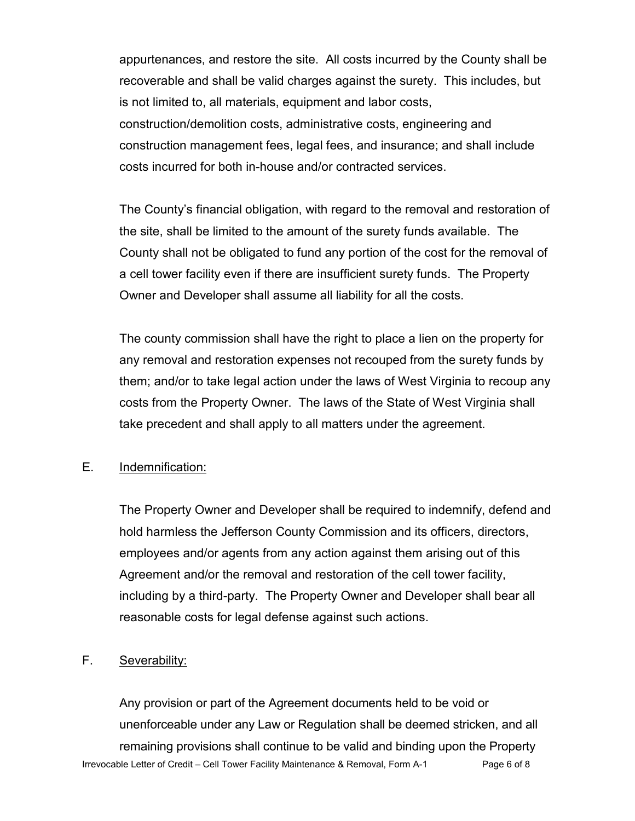appurtenances, and restore the site. All costs incurred by the County shall be recoverable and shall be valid charges against the surety. This includes, but is not limited to, all materials, equipment and labor costs, construction/demolition costs, administrative costs, engineering and construction management fees, legal fees, and insurance; and shall include costs incurred for both in-house and/or contracted services.

The County's financial obligation, with regard to the removal and restoration of the site, shall be limited to the amount of the surety funds available. The County shall not be obligated to fund any portion of the cost for the removal of a cell tower facility even if there are insufficient surety funds. The Property Owner and Developer shall assume all liability for all the costs.

The county commission shall have the right to place a lien on the property for any removal and restoration expenses not recouped from the surety funds by them; and/or to take legal action under the laws of West Virginia to recoup any costs from the Property Owner. The laws of the State of West Virginia shall take precedent and shall apply to all matters under the agreement.

#### E. Indemnification:

The Property Owner and Developer shall be required to indemnify, defend and hold harmless the Jefferson County Commission and its officers, directors, employees and/or agents from any action against them arising out of this Agreement and/or the removal and restoration of the cell tower facility, including by a third-party. The Property Owner and Developer shall bear all reasonable costs for legal defense against such actions.

#### F. Severability:

Irrevocable Letter of Credit – Cell Tower Facility Maintenance & Removal, Form A-1 Page 6 of 8 Any provision or part of the Agreement documents held to be void or unenforceable under any Law or Regulation shall be deemed stricken, and all remaining provisions shall continue to be valid and binding upon the Property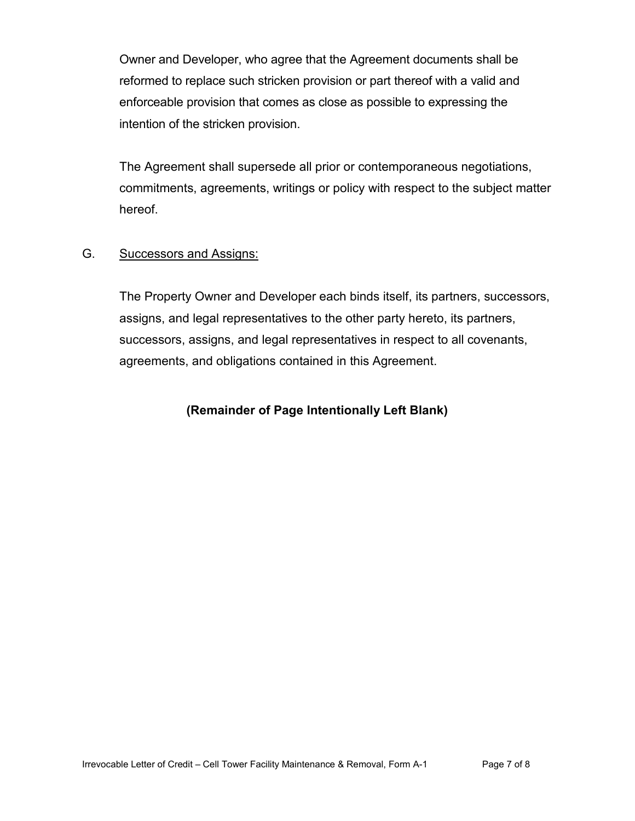Owner and Developer, who agree that the Agreement documents shall be reformed to replace such stricken provision or part thereof with a valid and enforceable provision that comes as close as possible to expressing the intention of the stricken provision.

The Agreement shall supersede all prior or contemporaneous negotiations, commitments, agreements, writings or policy with respect to the subject matter hereof.

#### G. Successors and Assigns:

The Property Owner and Developer each binds itself, its partners, successors, assigns, and legal representatives to the other party hereto, its partners, successors, assigns, and legal representatives in respect to all covenants, agreements, and obligations contained in this Agreement.

#### **(Remainder of Page Intentionally Left Blank)**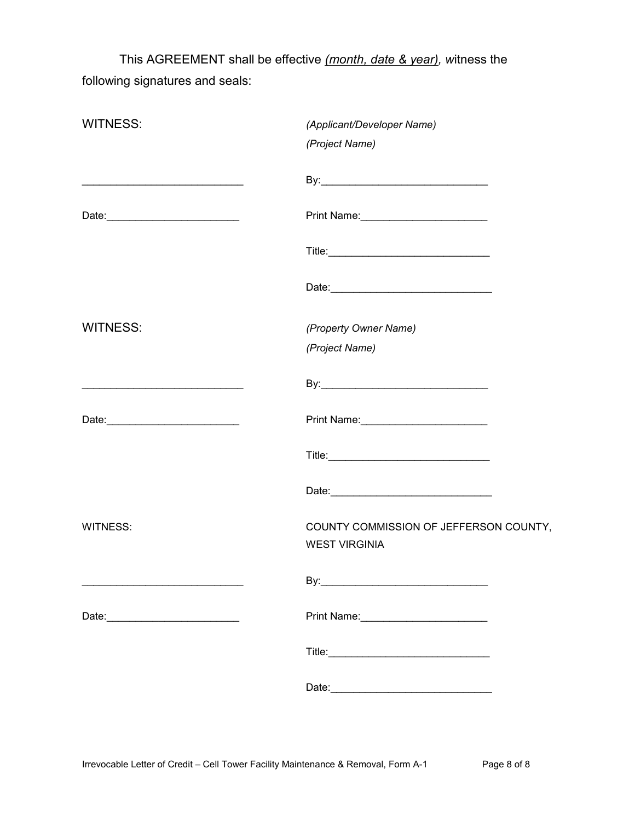This AGREEMENT shall be effective *(month, date & year), w*itness the following signatures and seals:

| <b>WITNESS:</b> | (Applicant/Developer Name)<br>(Project Name)                   |
|-----------------|----------------------------------------------------------------|
|                 |                                                                |
|                 |                                                                |
|                 |                                                                |
|                 |                                                                |
| <b>WITNESS:</b> | (Property Owner Name)                                          |
|                 | (Project Name)                                                 |
|                 |                                                                |
|                 |                                                                |
|                 |                                                                |
|                 |                                                                |
| <b>WITNESS:</b> | COUNTY COMMISSION OF JEFFERSON COUNTY,<br><b>WEST VIRGINIA</b> |
|                 |                                                                |
|                 |                                                                |
|                 |                                                                |
|                 |                                                                |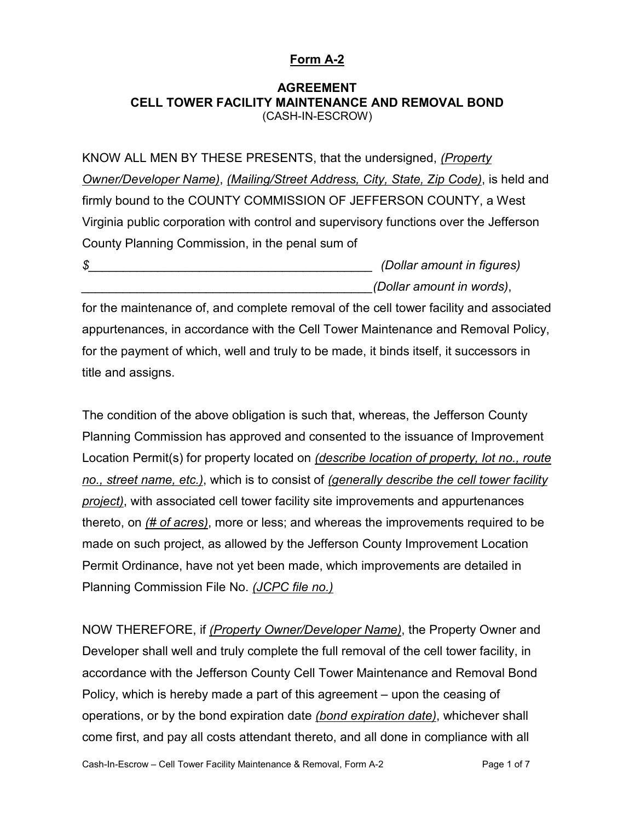#### **Form A-2**

#### **AGREEMENT CELL TOWER FACILITY MAINTENANCE AND REMOVAL BOND** (CASH-IN-ESCROW)

KNOW ALL MEN BY THESE PRESENTS, that the undersigned, *(Property Owner/Developer Name)*, *(Mailing/Street Address, City, State, Zip Code)*, is held and firmly bound to the COUNTY COMMISSION OF JEFFERSON COUNTY, a West Virginia public corporation with control and supervisory functions over the Jefferson County Planning Commission, in the penal sum of

*\$\_\_\_\_\_\_\_\_\_\_\_\_\_\_\_\_\_\_\_\_\_\_\_\_\_\_\_\_\_\_\_\_\_\_\_\_\_\_\_\_\_ (Dollar amount in figures) \_\_\_\_\_\_\_\_\_\_\_\_\_\_\_\_\_\_\_\_\_\_\_\_\_\_\_\_\_\_\_\_\_\_\_\_\_\_\_\_\_\_(Dollar amount in words)*,

for the maintenance of, and complete removal of the cell tower facility and associated appurtenances, in accordance with the Cell Tower Maintenance and Removal Policy, for the payment of which, well and truly to be made, it binds itself, it successors in title and assigns.

The condition of the above obligation is such that, whereas, the Jefferson County Planning Commission has approved and consented to the issuance of Improvement Location Permit(s) for property located on *(describe location of property, lot no., route no., street name, etc.)*, which is to consist of *(generally describe the cell tower facility project)*, with associated cell tower facility site improvements and appurtenances thereto, on *(# of acres)*, more or less; and whereas the improvements required to be made on such project, as allowed by the Jefferson County Improvement Location Permit Ordinance, have not yet been made, which improvements are detailed in Planning Commission File No. *(JCPC file no.)*

NOW THEREFORE, if *(Property Owner/Developer Name)*, the Property Owner and Developer shall well and truly complete the full removal of the cell tower facility, in accordance with the Jefferson County Cell Tower Maintenance and Removal Bond Policy, which is hereby made a part of this agreement – upon the ceasing of operations, or by the bond expiration date *(bond expiration date)*, whichever shall come first, and pay all costs attendant thereto, and all done in compliance with all

Cash-In-Escrow – Cell Tower Facility Maintenance & Removal, Form A-2 Page 1 of 7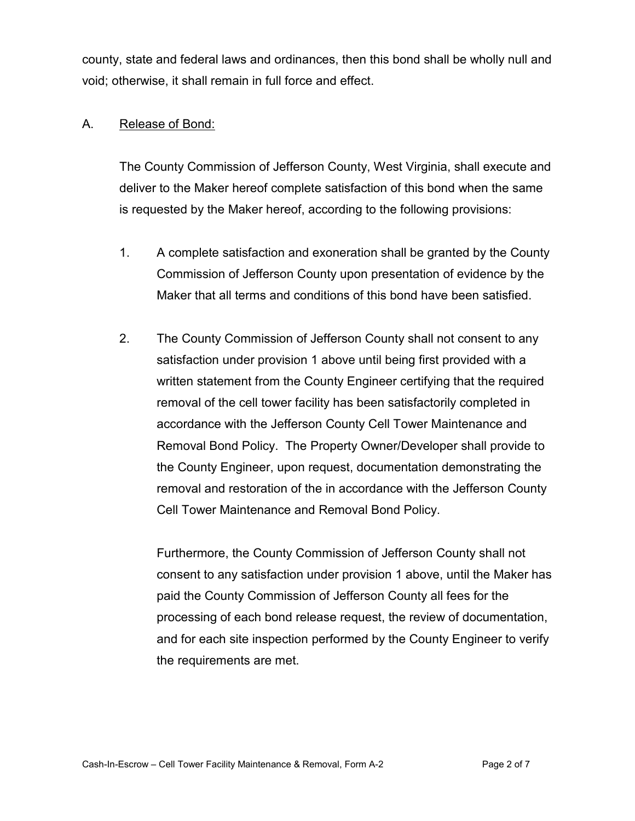county, state and federal laws and ordinances, then this bond shall be wholly null and void; otherwise, it shall remain in full force and effect.

#### A. Release of Bond:

The County Commission of Jefferson County, West Virginia, shall execute and deliver to the Maker hereof complete satisfaction of this bond when the same is requested by the Maker hereof, according to the following provisions:

- 1. A complete satisfaction and exoneration shall be granted by the County Commission of Jefferson County upon presentation of evidence by the Maker that all terms and conditions of this bond have been satisfied.
- 2. The County Commission of Jefferson County shall not consent to any satisfaction under provision 1 above until being first provided with a written statement from the County Engineer certifying that the required removal of the cell tower facility has been satisfactorily completed in accordance with the Jefferson County Cell Tower Maintenance and Removal Bond Policy. The Property Owner/Developer shall provide to the County Engineer, upon request, documentation demonstrating the removal and restoration of the in accordance with the Jefferson County Cell Tower Maintenance and Removal Bond Policy.

Furthermore, the County Commission of Jefferson County shall not consent to any satisfaction under provision 1 above, until the Maker has paid the County Commission of Jefferson County all fees for the processing of each bond release request, the review of documentation, and for each site inspection performed by the County Engineer to verify the requirements are met.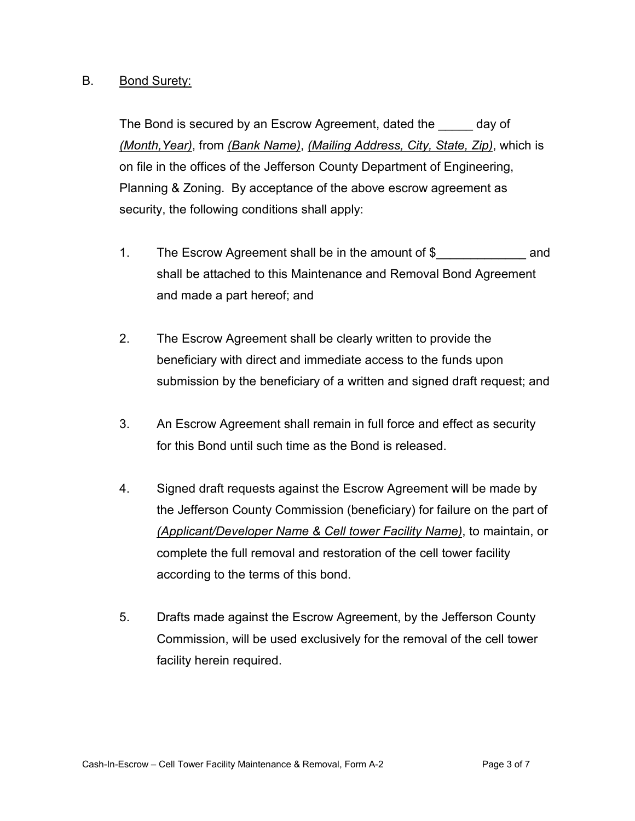#### B. Bond Surety:

The Bond is secured by an Escrow Agreement, dated the day of *(Month,Year)*, from *(Bank Name)*, *(Mailing Address, City, State, Zip)*, which is on file in the offices of the Jefferson County Department of Engineering, Planning & Zoning. By acceptance of the above escrow agreement as security, the following conditions shall apply:

- 1. The Escrow Agreement shall be in the amount of \$ and shall be attached to this Maintenance and Removal Bond Agreement and made a part hereof; and
- 2. The Escrow Agreement shall be clearly written to provide the beneficiary with direct and immediate access to the funds upon submission by the beneficiary of a written and signed draft request; and
- 3. An Escrow Agreement shall remain in full force and effect as security for this Bond until such time as the Bond is released.
- 4. Signed draft requests against the Escrow Agreement will be made by the Jefferson County Commission (beneficiary) for failure on the part of *(Applicant/Developer Name & Cell tower Facility Name)*, to maintain, or complete the full removal and restoration of the cell tower facility according to the terms of this bond.
- 5. Drafts made against the Escrow Agreement, by the Jefferson County Commission, will be used exclusively for the removal of the cell tower facility herein required.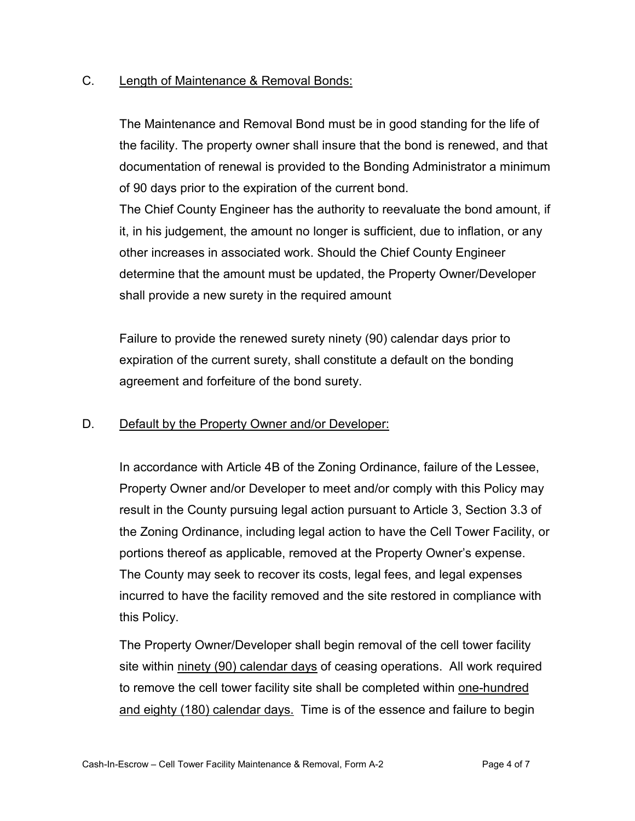#### C. Length of Maintenance & Removal Bonds:

The Maintenance and Removal Bond must be in good standing for the life of the facility. The property owner shall insure that the bond is renewed, and that documentation of renewal is provided to the Bonding Administrator a minimum of 90 days prior to the expiration of the current bond.

The Chief County Engineer has the authority to reevaluate the bond amount, if it, in his judgement, the amount no longer is sufficient, due to inflation, or any other increases in associated work. Should the Chief County Engineer determine that the amount must be updated, the Property Owner/Developer shall provide a new surety in the required amount

Failure to provide the renewed surety ninety (90) calendar days prior to expiration of the current surety, shall constitute a default on the bonding agreement and forfeiture of the bond surety.

#### D. Default by the Property Owner and/or Developer:

In accordance with Article 4B of the Zoning Ordinance, failure of the Lessee, Property Owner and/or Developer to meet and/or comply with this Policy may result in the County pursuing legal action pursuant to Article 3, Section 3.3 of the Zoning Ordinance, including legal action to have the Cell Tower Facility, or portions thereof as applicable, removed at the Property Owner's expense. The County may seek to recover its costs, legal fees, and legal expenses incurred to have the facility removed and the site restored in compliance with this Policy.

The Property Owner/Developer shall begin removal of the cell tower facility site within ninety (90) calendar days of ceasing operations. All work required to remove the cell tower facility site shall be completed within one-hundred and eighty (180) calendar days. Time is of the essence and failure to begin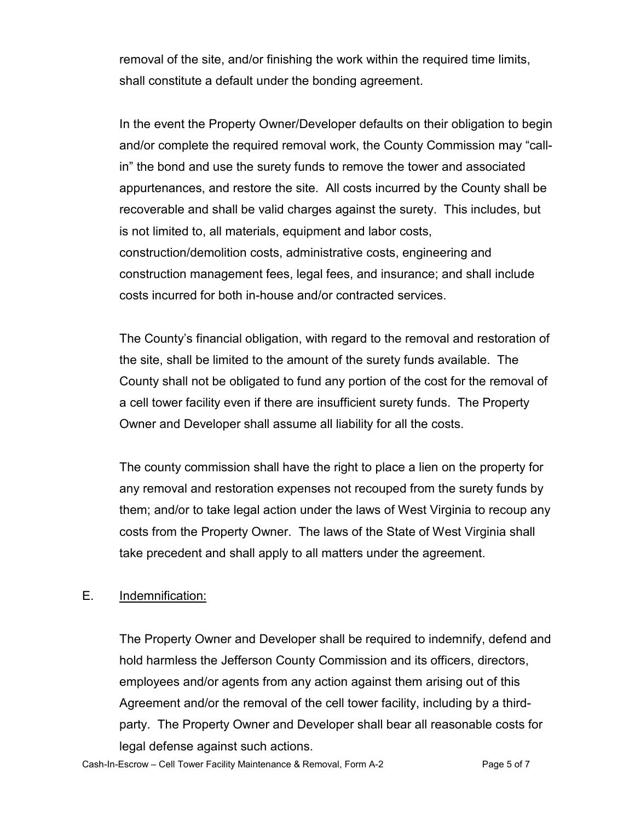removal of the site, and/or finishing the work within the required time limits, shall constitute a default under the bonding agreement.

In the event the Property Owner/Developer defaults on their obligation to begin and/or complete the required removal work, the County Commission may "callin" the bond and use the surety funds to remove the tower and associated appurtenances, and restore the site. All costs incurred by the County shall be recoverable and shall be valid charges against the surety. This includes, but is not limited to, all materials, equipment and labor costs, construction/demolition costs, administrative costs, engineering and construction management fees, legal fees, and insurance; and shall include costs incurred for both in-house and/or contracted services.

The County's financial obligation, with regard to the removal and restoration of the site, shall be limited to the amount of the surety funds available. The County shall not be obligated to fund any portion of the cost for the removal of a cell tower facility even if there are insufficient surety funds. The Property Owner and Developer shall assume all liability for all the costs.

The county commission shall have the right to place a lien on the property for any removal and restoration expenses not recouped from the surety funds by them; and/or to take legal action under the laws of West Virginia to recoup any costs from the Property Owner. The laws of the State of West Virginia shall take precedent and shall apply to all matters under the agreement.

#### E. Indemnification:

The Property Owner and Developer shall be required to indemnify, defend and hold harmless the Jefferson County Commission and its officers, directors, employees and/or agents from any action against them arising out of this Agreement and/or the removal of the cell tower facility, including by a thirdparty. The Property Owner and Developer shall bear all reasonable costs for legal defense against such actions.

Cash-In-Escrow – Cell Tower Facility Maintenance & Removal, Form A-2 Page 5 of 7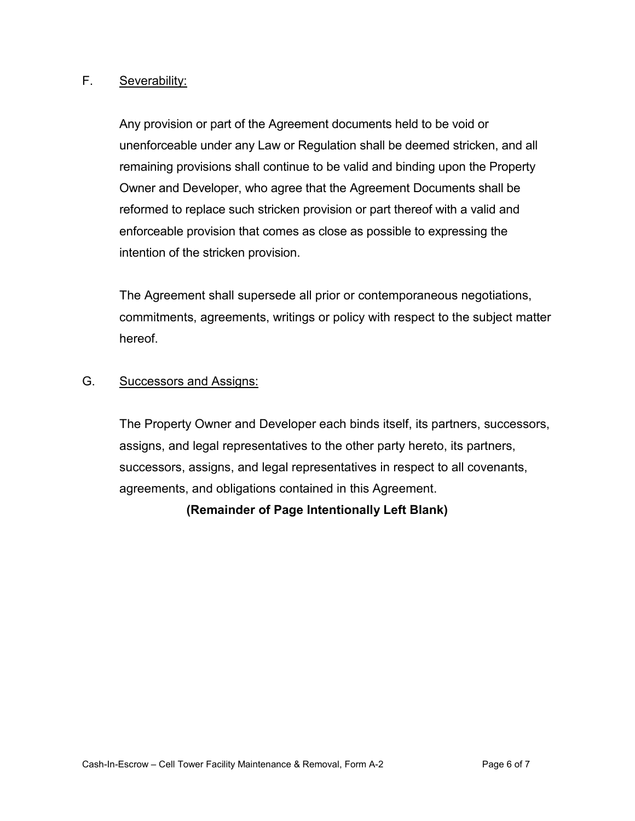#### F. Severability:

Any provision or part of the Agreement documents held to be void or unenforceable under any Law or Regulation shall be deemed stricken, and all remaining provisions shall continue to be valid and binding upon the Property Owner and Developer, who agree that the Agreement Documents shall be reformed to replace such stricken provision or part thereof with a valid and enforceable provision that comes as close as possible to expressing the intention of the stricken provision.

The Agreement shall supersede all prior or contemporaneous negotiations, commitments, agreements, writings or policy with respect to the subject matter hereof.

#### G. Successors and Assigns:

The Property Owner and Developer each binds itself, its partners, successors, assigns, and legal representatives to the other party hereto, its partners, successors, assigns, and legal representatives in respect to all covenants, agreements, and obligations contained in this Agreement.

**(Remainder of Page Intentionally Left Blank)**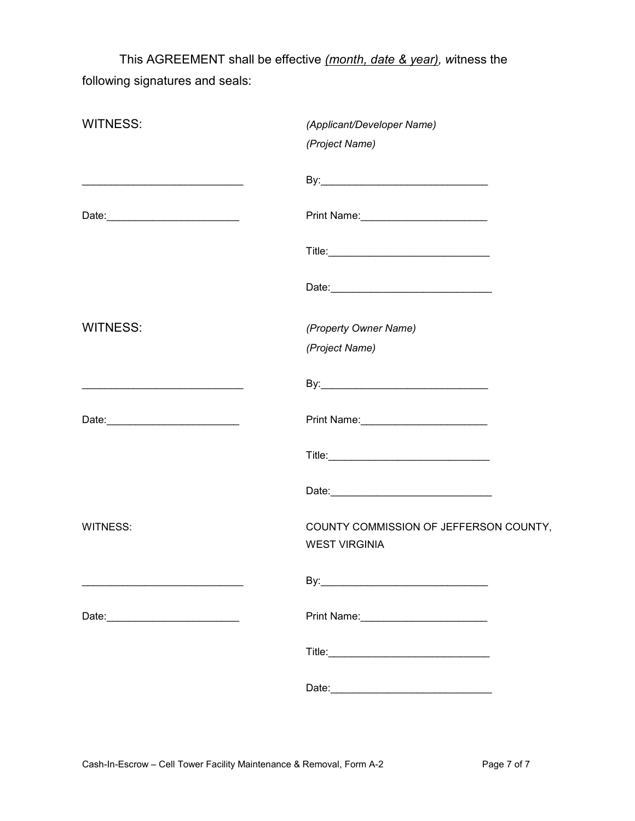This AGREEMENT shall be effective *(month, date & year), w*itness the following signatures and seals:

| <b>WITNESS:</b>                                                                                                       | (Applicant/Developer Name)<br>(Project Name)                   |
|-----------------------------------------------------------------------------------------------------------------------|----------------------------------------------------------------|
|                                                                                                                       |                                                                |
|                                                                                                                       |                                                                |
|                                                                                                                       |                                                                |
|                                                                                                                       |                                                                |
| <b>WITNESS:</b>                                                                                                       | (Property Owner Name)<br>(Project Name)                        |
| <u> 1989 - Johann Barbara, martin amerikan basal dan berasal dan berasal dalam basal dalam basal dalam basal dala</u> |                                                                |
|                                                                                                                       |                                                                |
|                                                                                                                       |                                                                |
|                                                                                                                       |                                                                |
| <b>WITNESS:</b>                                                                                                       | COUNTY COMMISSION OF JEFFERSON COUNTY,<br><b>WEST VIRGINIA</b> |
|                                                                                                                       | By:_                                                           |
|                                                                                                                       |                                                                |
|                                                                                                                       |                                                                |
|                                                                                                                       |                                                                |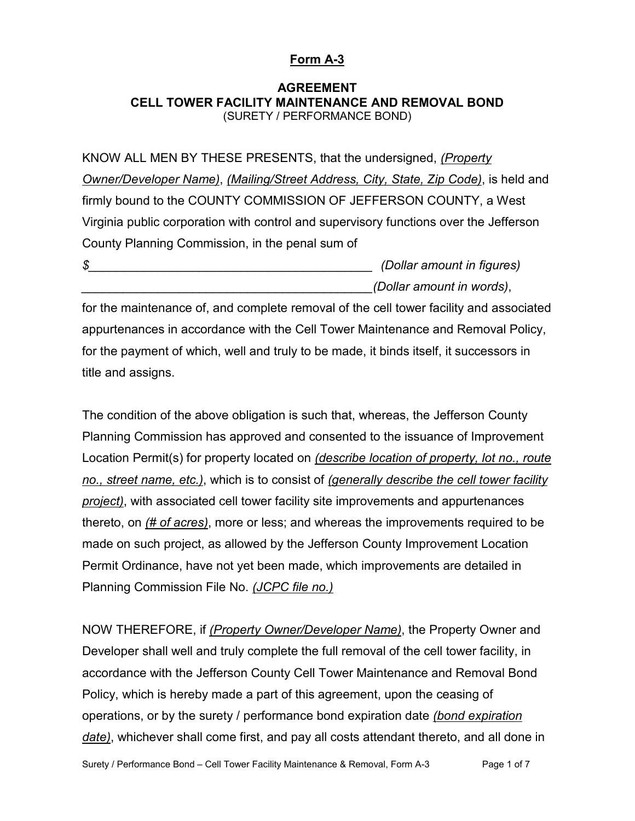#### **Form A-3**

#### **AGREEMENT CELL TOWER FACILITY MAINTENANCE AND REMOVAL BOND** (SURETY / PERFORMANCE BOND)

KNOW ALL MEN BY THESE PRESENTS, that the undersigned, *(Property Owner/Developer Name)*, *(Mailing/Street Address, City, State, Zip Code)*, is held and firmly bound to the COUNTY COMMISSION OF JEFFERSON COUNTY, a West Virginia public corporation with control and supervisory functions over the Jefferson County Planning Commission, in the penal sum of

*\$\_\_\_\_\_\_\_\_\_\_\_\_\_\_\_\_\_\_\_\_\_\_\_\_\_\_\_\_\_\_\_\_\_\_\_\_\_\_\_\_\_ (Dollar amount in figures) \_\_\_\_\_\_\_\_\_\_\_\_\_\_\_\_\_\_\_\_\_\_\_\_\_\_\_\_\_\_\_\_\_\_\_\_\_\_\_\_\_\_(Dollar amount in words)*,

for the maintenance of, and complete removal of the cell tower facility and associated appurtenances in accordance with the Cell Tower Maintenance and Removal Policy, for the payment of which, well and truly to be made, it binds itself, it successors in title and assigns.

The condition of the above obligation is such that, whereas, the Jefferson County Planning Commission has approved and consented to the issuance of Improvement Location Permit(s) for property located on *(describe location of property, lot no., route no., street name, etc.)*, which is to consist of *(generally describe the cell tower facility project)*, with associated cell tower facility site improvements and appurtenances thereto, on *(# of acres)*, more or less; and whereas the improvements required to be made on such project, as allowed by the Jefferson County Improvement Location Permit Ordinance, have not yet been made, which improvements are detailed in Planning Commission File No. *(JCPC file no.)*

NOW THEREFORE, if *(Property Owner/Developer Name)*, the Property Owner and Developer shall well and truly complete the full removal of the cell tower facility, in accordance with the Jefferson County Cell Tower Maintenance and Removal Bond Policy, which is hereby made a part of this agreement, upon the ceasing of operations, or by the surety / performance bond expiration date *(bond expiration date)*, whichever shall come first, and pay all costs attendant thereto, and all done in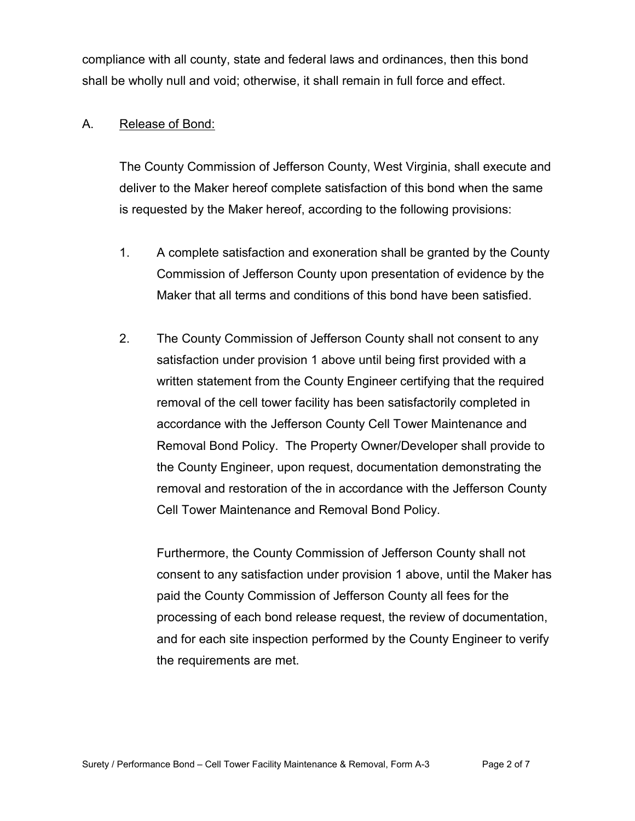compliance with all county, state and federal laws and ordinances, then this bond shall be wholly null and void; otherwise, it shall remain in full force and effect.

#### A. Release of Bond:

The County Commission of Jefferson County, West Virginia, shall execute and deliver to the Maker hereof complete satisfaction of this bond when the same is requested by the Maker hereof, according to the following provisions:

- 1. A complete satisfaction and exoneration shall be granted by the County Commission of Jefferson County upon presentation of evidence by the Maker that all terms and conditions of this bond have been satisfied.
- 2. The County Commission of Jefferson County shall not consent to any satisfaction under provision 1 above until being first provided with a written statement from the County Engineer certifying that the required removal of the cell tower facility has been satisfactorily completed in accordance with the Jefferson County Cell Tower Maintenance and Removal Bond Policy. The Property Owner/Developer shall provide to the County Engineer, upon request, documentation demonstrating the removal and restoration of the in accordance with the Jefferson County Cell Tower Maintenance and Removal Bond Policy.

Furthermore, the County Commission of Jefferson County shall not consent to any satisfaction under provision 1 above, until the Maker has paid the County Commission of Jefferson County all fees for the processing of each bond release request, the review of documentation, and for each site inspection performed by the County Engineer to verify the requirements are met.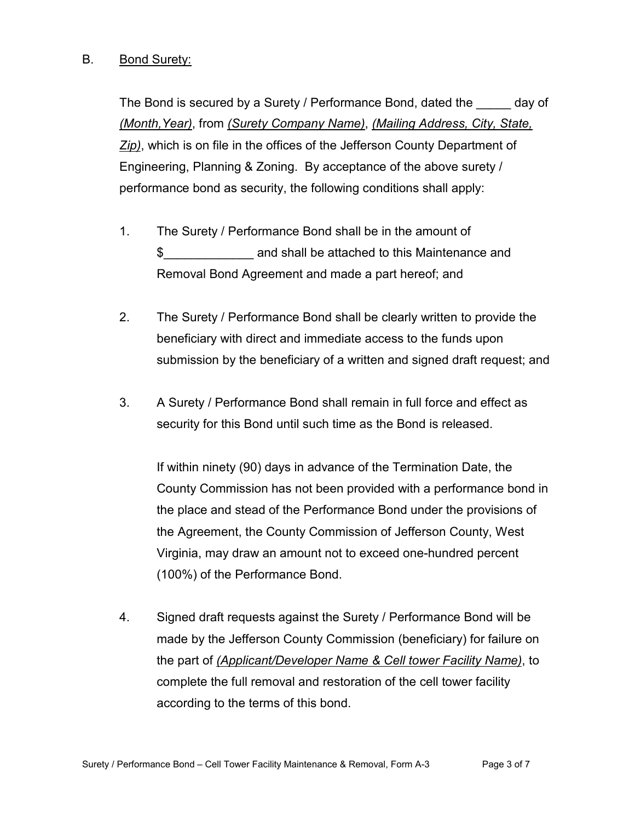#### B. Bond Surety:

The Bond is secured by a Surety / Performance Bond, dated the day of *(Month,Year)*, from *(Surety Company Name)*, *(Mailing Address, City, State, Zip)*, which is on file in the offices of the Jefferson County Department of Engineering, Planning & Zoning. By acceptance of the above surety / performance bond as security, the following conditions shall apply:

- 1. The Surety / Performance Bond shall be in the amount of \$\_\_\_\_\_\_\_\_\_\_\_\_\_ and shall be attached to this Maintenance and Removal Bond Agreement and made a part hereof; and
- 2. The Surety / Performance Bond shall be clearly written to provide the beneficiary with direct and immediate access to the funds upon submission by the beneficiary of a written and signed draft request; and
- 3. A Surety / Performance Bond shall remain in full force and effect as security for this Bond until such time as the Bond is released.

If within ninety (90) days in advance of the Termination Date, the County Commission has not been provided with a performance bond in the place and stead of the Performance Bond under the provisions of the Agreement, the County Commission of Jefferson County, West Virginia, may draw an amount not to exceed one-hundred percent (100%) of the Performance Bond.

4. Signed draft requests against the Surety / Performance Bond will be made by the Jefferson County Commission (beneficiary) for failure on the part of *(Applicant/Developer Name & Cell tower Facility Name)*, to complete the full removal and restoration of the cell tower facility according to the terms of this bond.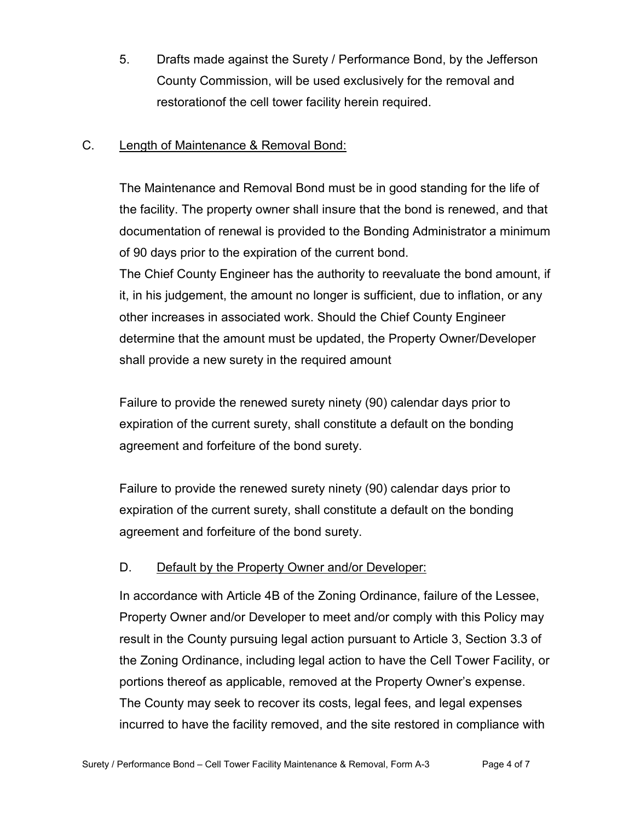5. Drafts made against the Surety / Performance Bond, by the Jefferson County Commission, will be used exclusively for the removal and restorationof the cell tower facility herein required.

#### C. Length of Maintenance & Removal Bond:

The Maintenance and Removal Bond must be in good standing for the life of the facility. The property owner shall insure that the bond is renewed, and that documentation of renewal is provided to the Bonding Administrator a minimum of 90 days prior to the expiration of the current bond.

The Chief County Engineer has the authority to reevaluate the bond amount, if it, in his judgement, the amount no longer is sufficient, due to inflation, or any other increases in associated work. Should the Chief County Engineer determine that the amount must be updated, the Property Owner/Developer shall provide a new surety in the required amount

Failure to provide the renewed surety ninety (90) calendar days prior to expiration of the current surety, shall constitute a default on the bonding agreement and forfeiture of the bond surety.

Failure to provide the renewed surety ninety (90) calendar days prior to expiration of the current surety, shall constitute a default on the bonding agreement and forfeiture of the bond surety.

#### D. Default by the Property Owner and/or Developer:

In accordance with Article 4B of the Zoning Ordinance, failure of the Lessee, Property Owner and/or Developer to meet and/or comply with this Policy may result in the County pursuing legal action pursuant to Article 3, Section 3.3 of the Zoning Ordinance, including legal action to have the Cell Tower Facility, or portions thereof as applicable, removed at the Property Owner's expense. The County may seek to recover its costs, legal fees, and legal expenses incurred to have the facility removed, and the site restored in compliance with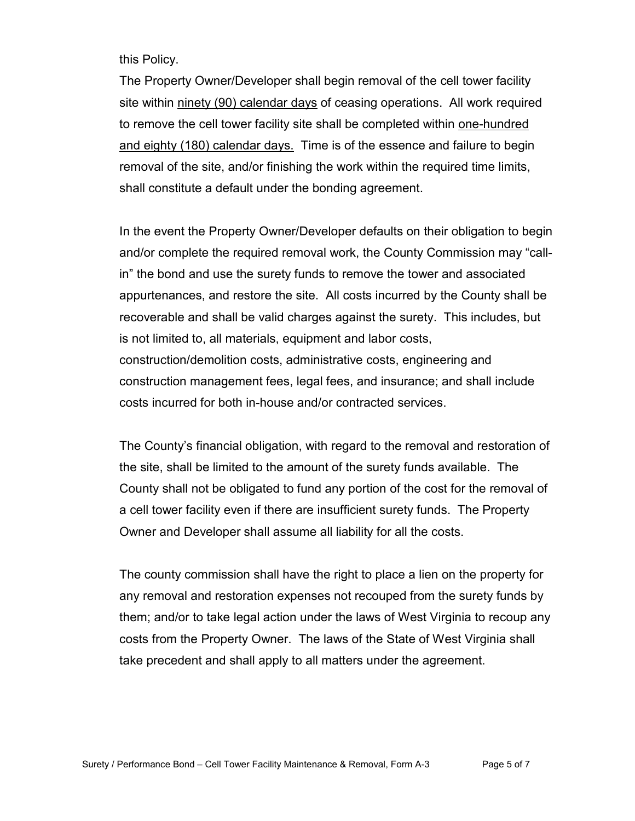this Policy.

The Property Owner/Developer shall begin removal of the cell tower facility site within ninety (90) calendar days of ceasing operations. All work required to remove the cell tower facility site shall be completed within one-hundred and eighty (180) calendar days. Time is of the essence and failure to begin removal of the site, and/or finishing the work within the required time limits, shall constitute a default under the bonding agreement.

In the event the Property Owner/Developer defaults on their obligation to begin and/or complete the required removal work, the County Commission may "callin" the bond and use the surety funds to remove the tower and associated appurtenances, and restore the site. All costs incurred by the County shall be recoverable and shall be valid charges against the surety. This includes, but is not limited to, all materials, equipment and labor costs, construction/demolition costs, administrative costs, engineering and construction management fees, legal fees, and insurance; and shall include costs incurred for both in-house and/or contracted services.

The County's financial obligation, with regard to the removal and restoration of the site, shall be limited to the amount of the surety funds available. The County shall not be obligated to fund any portion of the cost for the removal of a cell tower facility even if there are insufficient surety funds. The Property Owner and Developer shall assume all liability for all the costs.

The county commission shall have the right to place a lien on the property for any removal and restoration expenses not recouped from the surety funds by them; and/or to take legal action under the laws of West Virginia to recoup any costs from the Property Owner. The laws of the State of West Virginia shall take precedent and shall apply to all matters under the agreement.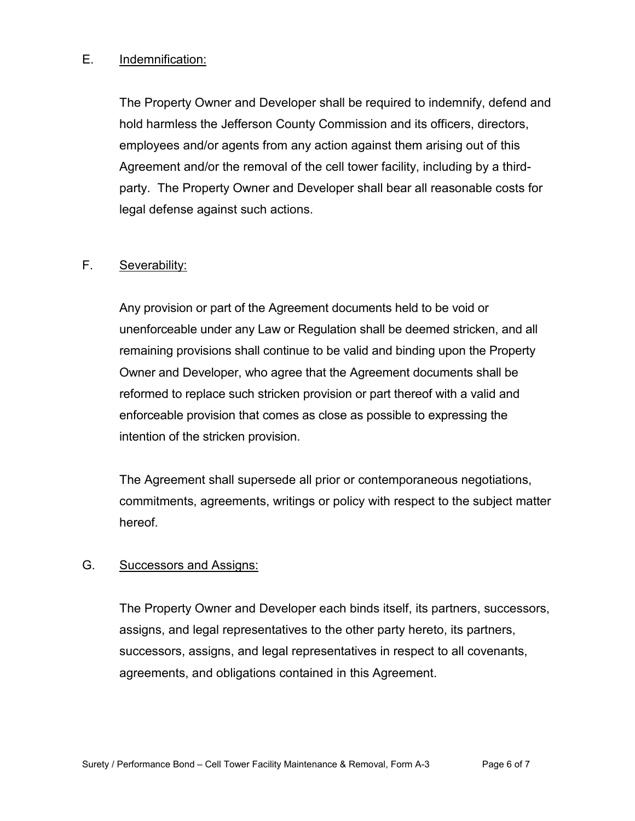#### E. Indemnification:

The Property Owner and Developer shall be required to indemnify, defend and hold harmless the Jefferson County Commission and its officers, directors, employees and/or agents from any action against them arising out of this Agreement and/or the removal of the cell tower facility, including by a thirdparty. The Property Owner and Developer shall bear all reasonable costs for legal defense against such actions.

#### F. Severability:

Any provision or part of the Agreement documents held to be void or unenforceable under any Law or Regulation shall be deemed stricken, and all remaining provisions shall continue to be valid and binding upon the Property Owner and Developer, who agree that the Agreement documents shall be reformed to replace such stricken provision or part thereof with a valid and enforceable provision that comes as close as possible to expressing the intention of the stricken provision.

The Agreement shall supersede all prior or contemporaneous negotiations, commitments, agreements, writings or policy with respect to the subject matter hereof.

#### G. Successors and Assigns:

The Property Owner and Developer each binds itself, its partners, successors, assigns, and legal representatives to the other party hereto, its partners, successors, assigns, and legal representatives in respect to all covenants, agreements, and obligations contained in this Agreement.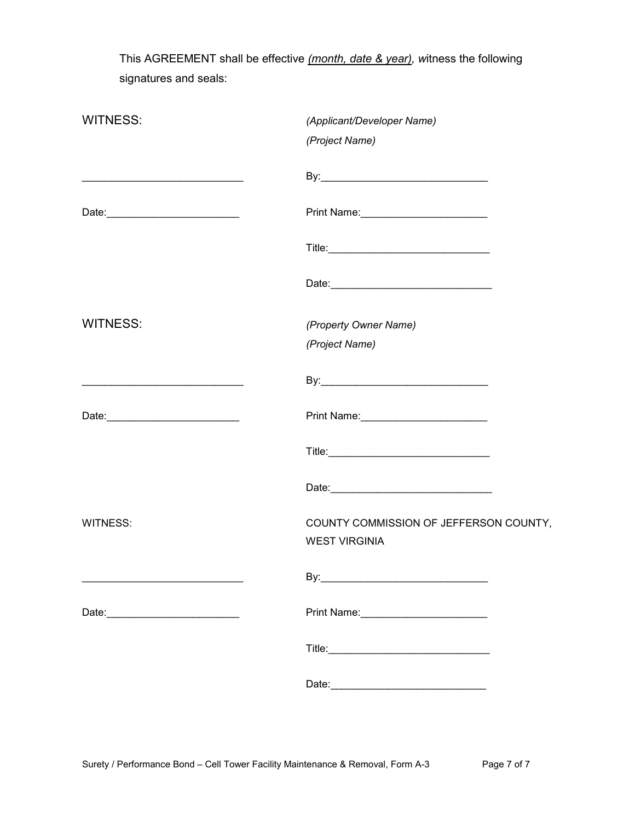This AGREEMENT shall be effective *(month, date & year), w*itness the following signatures and seals:

| <b>WITNESS:</b>                           | (Applicant/Developer Name)<br>(Project Name)                   |
|-------------------------------------------|----------------------------------------------------------------|
|                                           |                                                                |
|                                           |                                                                |
|                                           |                                                                |
|                                           |                                                                |
| <b>WITNESS:</b>                           | (Property Owner Name)                                          |
|                                           | (Project Name)                                                 |
|                                           |                                                                |
| Date: 2004                                |                                                                |
|                                           |                                                                |
|                                           |                                                                |
| <b>WITNESS:</b>                           | COUNTY COMMISSION OF JEFFERSON COUNTY,<br><b>WEST VIRGINIA</b> |
|                                           |                                                                |
| Date: <u>____________________________</u> |                                                                |
|                                           |                                                                |
|                                           |                                                                |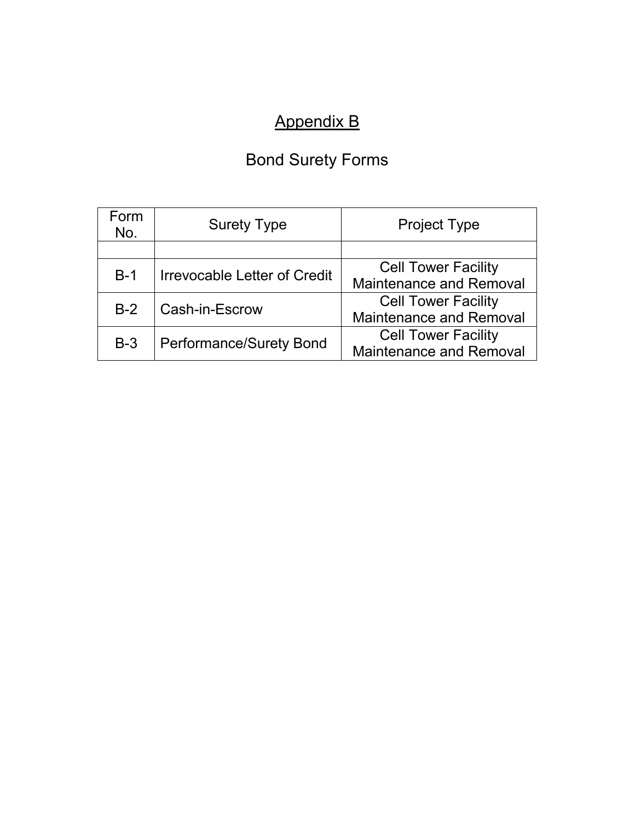# Appendix B

# Bond Surety Forms

| Form<br>No.                                  | <b>Surety Type</b>             | <b>Project Type</b>            |
|----------------------------------------------|--------------------------------|--------------------------------|
|                                              |                                |                                |
| <b>Irrevocable Letter of Credit</b><br>$B-1$ |                                | <b>Cell Tower Facility</b>     |
|                                              |                                | <b>Maintenance and Removal</b> |
|                                              |                                | <b>Cell Tower Facility</b>     |
| Cash-in-Escrow<br>$B-2$                      | <b>Maintenance and Removal</b> |                                |
| $B-3$                                        | <b>Performance/Surety Bond</b> | <b>Cell Tower Facility</b>     |
|                                              |                                | <b>Maintenance and Removal</b> |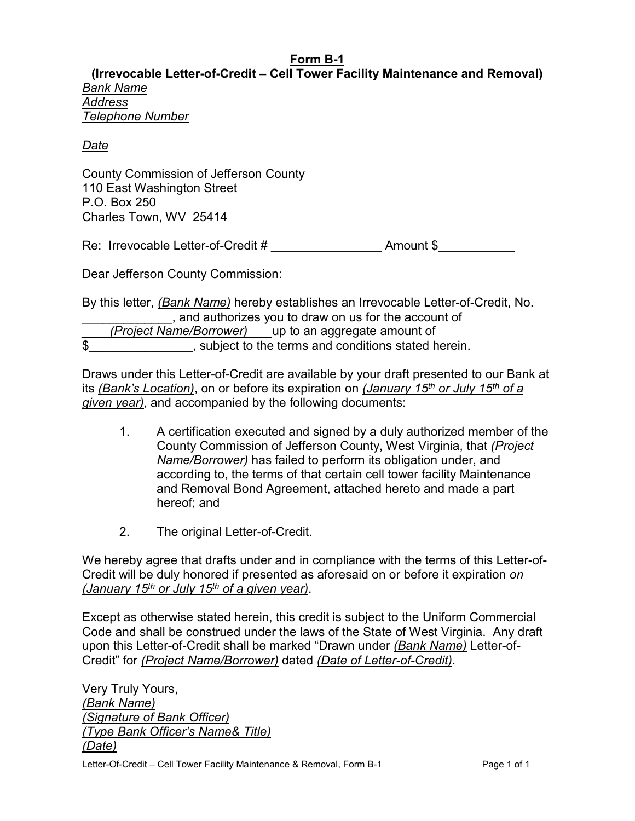#### **Form B-1**

**(Irrevocable Letter-of-Credit – Cell Tower Facility Maintenance and Removal)** *Bank Name Address Telephone Number*

#### *Date*

County Commission of Jefferson County 110 East Washington Street P.O. Box 250 Charles Town, WV 25414

Re: Irrevocable Letter-of-Credit #  $\overline{a}$  Amount \$

Dear Jefferson County Commission:

By this letter, *(Bank Name)* hereby establishes an Irrevocable Letter-of-Credit, No. \_\_\_\_\_\_\_\_\_\_\_\_\_, and authorizes you to draw on us for the account of *(Project Name/Borrower)* \_\_\_ up to an aggregate amount of  $\overline{a}$ , subject to the terms and conditions stated herein.

Draws under this Letter-of-Credit are available by your draft presented to our Bank at its *(Bank's Location)*, on or before its expiration on *(January 15th or July 15th of a given year)*, and accompanied by the following documents:

- 1. A certification executed and signed by a duly authorized member of the County Commission of Jefferson County, West Virginia, that *(Project Name/Borrower)* has failed to perform its obligation under, and according to, the terms of that certain cell tower facility Maintenance and Removal Bond Agreement, attached hereto and made a part hereof; and
- 2. The original Letter-of-Credit.

We hereby agree that drafts under and in compliance with the terms of this Letter-of-Credit will be duly honored if presented as aforesaid on or before it expiration *on (January 15th or July 15th of a given year)*.

Except as otherwise stated herein, this credit is subject to the Uniform Commercial Code and shall be construed under the laws of the State of West Virginia. Any draft upon this Letter-of-Credit shall be marked "Drawn under *(Bank Name)* Letter-of-Credit" for *(Project Name/Borrower)* dated *(Date of Letter-of-Credit)*.

Letter-Of-Credit – Cell Tower Facility Maintenance & Removal, Form B-1 Page 1 of 1 Very Truly Yours, *(Bank Name) (Signature of Bank Officer) (Type Bank Officer's Name& Title) (Date)*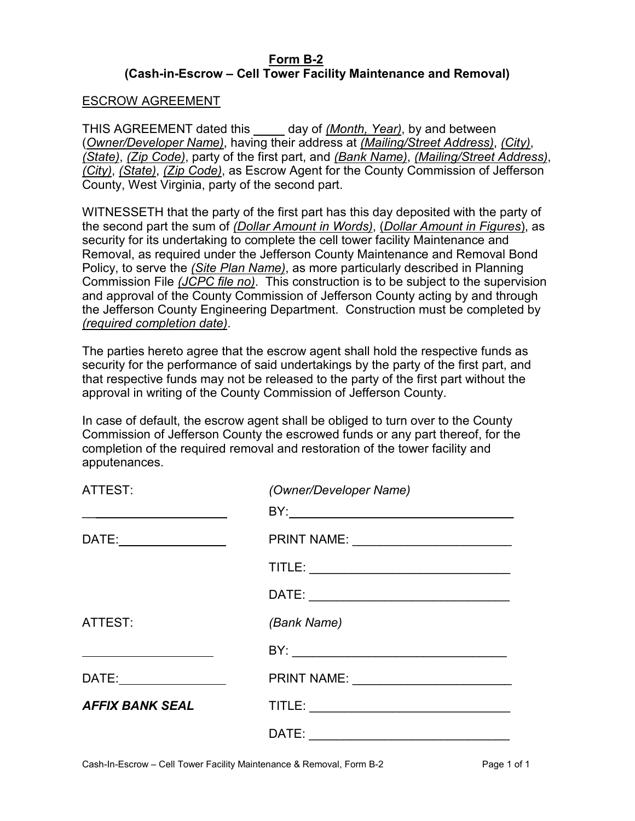#### **Form B-2 (Cash-in-Escrow – Cell Tower Facility Maintenance and Removal)**

#### ESCROW AGREEMENT

THIS AGREEMENT dated this day of *(Month, Year)*, by and between (*Owner/Developer Name)*, having their address at *(Mailing/Street Address)*, *(City)*, *(State)*, *(Zip Code)*, party of the first part, and *(Bank Name)*, *(Mailing/Street Address)*, *(City)*, *(State)*, *(Zip Code)*, as Escrow Agent for the County Commission of Jefferson County, West Virginia, party of the second part.

WITNESSETH that the party of the first part has this day deposited with the party of the second part the sum of *(Dollar Amount in Words)*, (*Dollar Amount in Figures*), as security for its undertaking to complete the cell tower facility Maintenance and Removal, as required under the Jefferson County Maintenance and Removal Bond Policy, to serve the *(Site Plan Name)*, as more particularly described in Planning Commission File *(JCPC file no)*. This construction is to be subject to the supervision and approval of the County Commission of Jefferson County acting by and through the Jefferson County Engineering Department. Construction must be completed by *(required completion date)*.

The parties hereto agree that the escrow agent shall hold the respective funds as security for the performance of said undertakings by the party of the first part, and that respective funds may not be released to the party of the first part without the approval in writing of the County Commission of Jefferson County.

In case of default, the escrow agent shall be obliged to turn over to the County Commission of Jefferson County the escrowed funds or any part thereof, for the completion of the required removal and restoration of the tower facility and apputenances.

| ATTEST:                | (Owner/Developer Name) |
|------------------------|------------------------|
|                        |                        |
| DATE: ___________      |                        |
|                        |                        |
|                        |                        |
| ATTEST:                | (Bank Name)            |
|                        |                        |
| DATE: _____________    | PRINT NAME:            |
| <b>AFFIX BANK SEAL</b> |                        |
|                        | DATE:                  |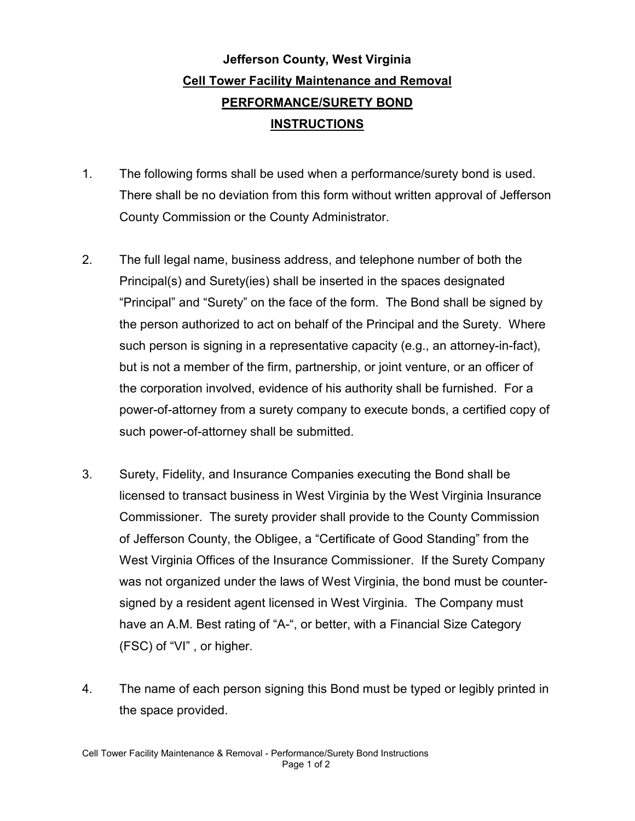### **Jefferson County, West Virginia Cell Tower Facility Maintenance and Removal PERFORMANCE/SURETY BOND INSTRUCTIONS**

- 1. The following forms shall be used when a performance/surety bond is used. There shall be no deviation from this form without written approval of Jefferson County Commission or the County Administrator.
- 2. The full legal name, business address, and telephone number of both the Principal(s) and Surety(ies) shall be inserted in the spaces designated "Principal" and "Surety" on the face of the form. The Bond shall be signed by the person authorized to act on behalf of the Principal and the Surety. Where such person is signing in a representative capacity (e.g., an attorney-in-fact), but is not a member of the firm, partnership, or joint venture, or an officer of the corporation involved, evidence of his authority shall be furnished. For a power-of-attorney from a surety company to execute bonds, a certified copy of such power-of-attorney shall be submitted.
- 3. Surety, Fidelity, and Insurance Companies executing the Bond shall be licensed to transact business in West Virginia by the West Virginia Insurance Commissioner. The surety provider shall provide to the County Commission of Jefferson County, the Obligee, a "Certificate of Good Standing" from the West Virginia Offices of the Insurance Commissioner. If the Surety Company was not organized under the laws of West Virginia, the bond must be countersigned by a resident agent licensed in West Virginia. The Company must have an A.M. Best rating of "A-", or better, with a Financial Size Category (FSC) of "VI" , or higher.
- 4. The name of each person signing this Bond must be typed or legibly printed in the space provided.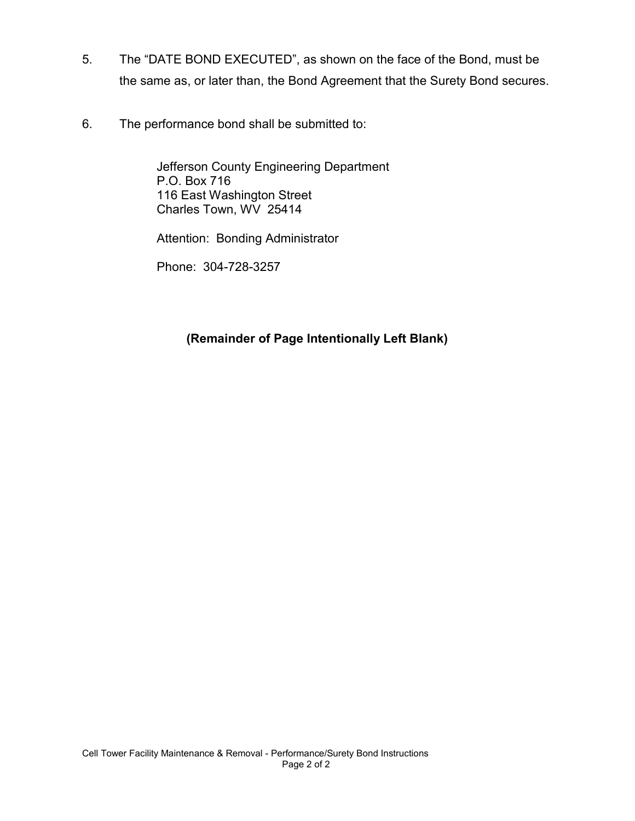- 5. The "DATE BOND EXECUTED", as shown on the face of the Bond, must be the same as, or later than, the Bond Agreement that the Surety Bond secures.
- 6. The performance bond shall be submitted to:

Jefferson County Engineering Department P.O. Box 716 116 East Washington Street Charles Town, WV 25414

Attention: Bonding Administrator

Phone: 304-728-3257

#### **(Remainder of Page Intentionally Left Blank)**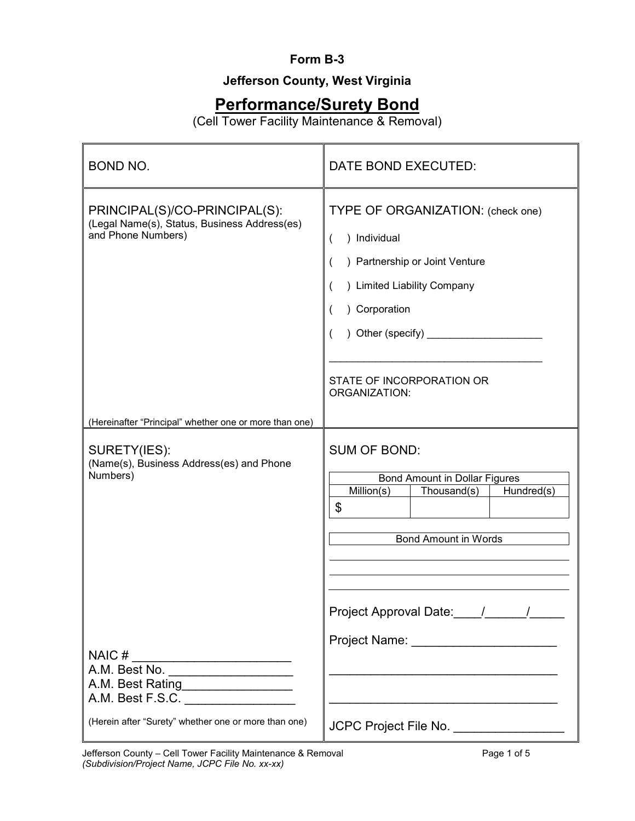#### **Form B-3**

### **Jefferson County, West Virginia**

### **Performance/Surety Bond**

(Cell Tower Facility Maintenance & Removal)

| <b>BOND NO.</b>                                                                                                                   | DATE BOND EXECUTED:                                                                                                                                                                                                  |  |
|-----------------------------------------------------------------------------------------------------------------------------------|----------------------------------------------------------------------------------------------------------------------------------------------------------------------------------------------------------------------|--|
| PRINCIPAL(S)/CO-PRINCIPAL(S):<br>(Legal Name(s), Status, Business Address(es)<br>and Phone Numbers)                               | TYPE OF ORGANIZATION: (check one)<br>) Individual<br>) Partnership or Joint Venture<br>) Limited Liability Company<br>) Corporation<br>) Other (specify) $\frac{1}{2}$<br>STATE OF INCORPORATION OR<br>ORGANIZATION: |  |
| (Hereinafter "Principal" whether one or more than one)<br>SURETY(IES):<br>(Name(s), Business Address(es) and Phone<br>Numbers)    | <b>SUM OF BOND:</b><br><b>Bond Amount in Dollar Figures</b><br>Million(s)<br>Thousand(s)<br>Hundred(s)<br>\$<br><b>Bond Amount in Words</b>                                                                          |  |
| A.M. Best Rating__________________<br>A.M. Best F.S.C. __________________<br>(Herein after "Surety" whether one or more than one) | JCPC Project File No. __________________                                                                                                                                                                             |  |

Jefferson County – Cell Tower Facility Maintenance & Removal **Page 1 of 5** *(Subdivision/Project Name, JCPC File No. xx-xx)*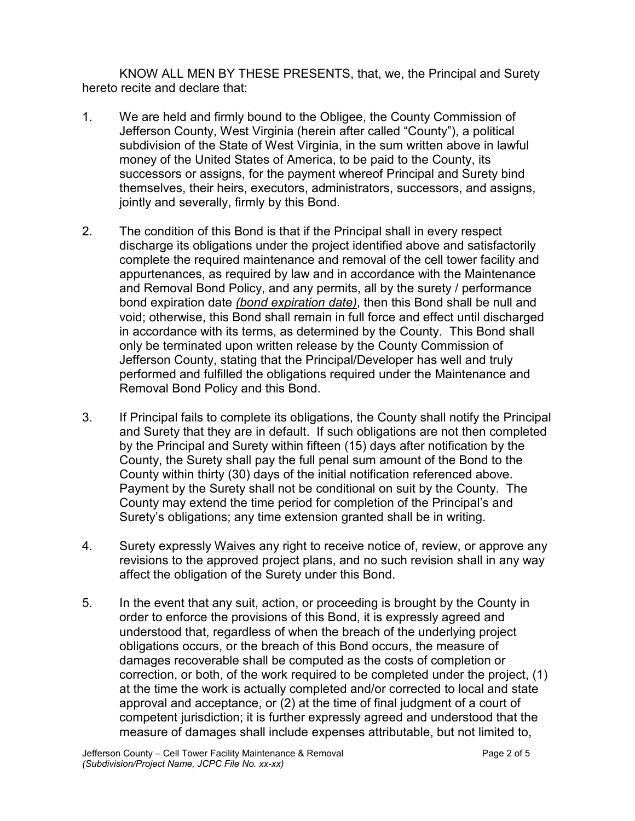KNOW ALL MEN BY THESE PRESENTS, that, we, the Principal and Surety hereto recite and declare that:

- 1. We are held and firmly bound to the Obligee, the County Commission of Jefferson County, West Virginia (herein after called "County"), a political subdivision of the State of West Virginia, in the sum written above in lawful money of the United States of America, to be paid to the County, its successors or assigns, for the payment whereof Principal and Surety bind themselves, their heirs, executors, administrators, successors, and assigns, jointly and severally, firmly by this Bond.
- 2. The condition of this Bond is that if the Principal shall in every respect discharge its obligations under the project identified above and satisfactorily complete the required maintenance and removal of the cell tower facility and appurtenances, as required by law and in accordance with the Maintenance and Removal Bond Policy, and any permits, all by the surety / performance bond expiration date *(bond expiration date)*, then this Bond shall be null and void; otherwise, this Bond shall remain in full force and effect until discharged in accordance with its terms, as determined by the County. This Bond shall only be terminated upon written release by the County Commission of Jefferson County, stating that the Principal/Developer has well and truly performed and fulfilled the obligations required under the Maintenance and Removal Bond Policy and this Bond.
- 3. If Principal fails to complete its obligations, the County shall notify the Principal and Surety that they are in default. If such obligations are not then completed by the Principal and Surety within fifteen (15) days after notification by the County, the Surety shall pay the full penal sum amount of the Bond to the County within thirty (30) days of the initial notification referenced above. Payment by the Surety shall not be conditional on suit by the County. The County may extend the time period for completion of the Principal's and Surety's obligations; any time extension granted shall be in writing.
- 4. Surety expressly Waives any right to receive notice of, review, or approve any revisions to the approved project plans, and no such revision shall in any way affect the obligation of the Surety under this Bond.
- 5. In the event that any suit, action, or proceeding is brought by the County in order to enforce the provisions of this Bond, it is expressly agreed and understood that, regardless of when the breach of the underlying project obligations occurs, or the breach of this Bond occurs, the measure of damages recoverable shall be computed as the costs of completion or correction, or both, of the work required to be completed under the project, (1) at the time the work is actually completed and/or corrected to local and state approval and acceptance, or (2) at the time of final judgment of a court of competent jurisdiction; it is further expressly agreed and understood that the measure of damages shall include expenses attributable, but not limited to,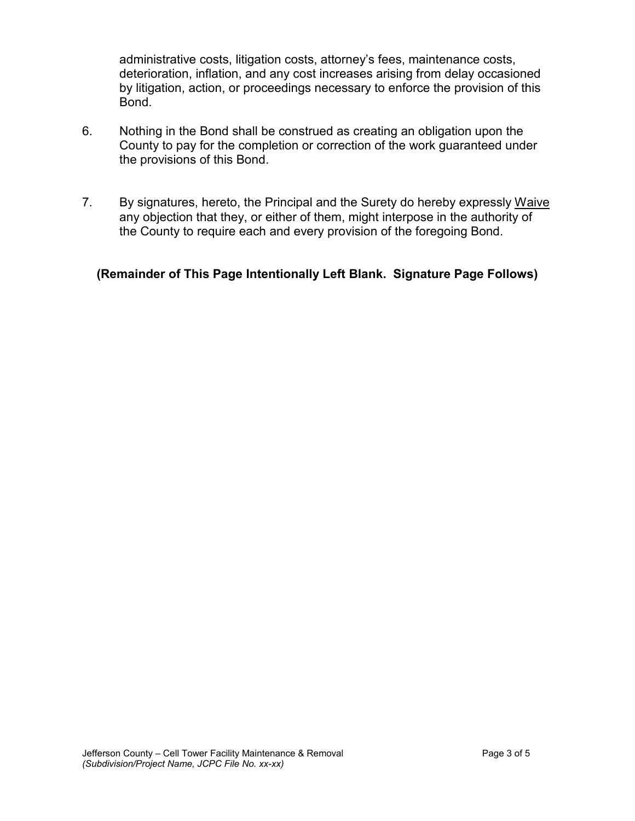administrative costs, litigation costs, attorney's fees, maintenance costs, deterioration, inflation, and any cost increases arising from delay occasioned by litigation, action, or proceedings necessary to enforce the provision of this Bond.

- 6. Nothing in the Bond shall be construed as creating an obligation upon the County to pay for the completion or correction of the work guaranteed under the provisions of this Bond.
- 7. By signatures, hereto, the Principal and the Surety do hereby expressly Waive any objection that they, or either of them, might interpose in the authority of the County to require each and every provision of the foregoing Bond.

#### **(Remainder of This Page Intentionally Left Blank. Signature Page Follows)**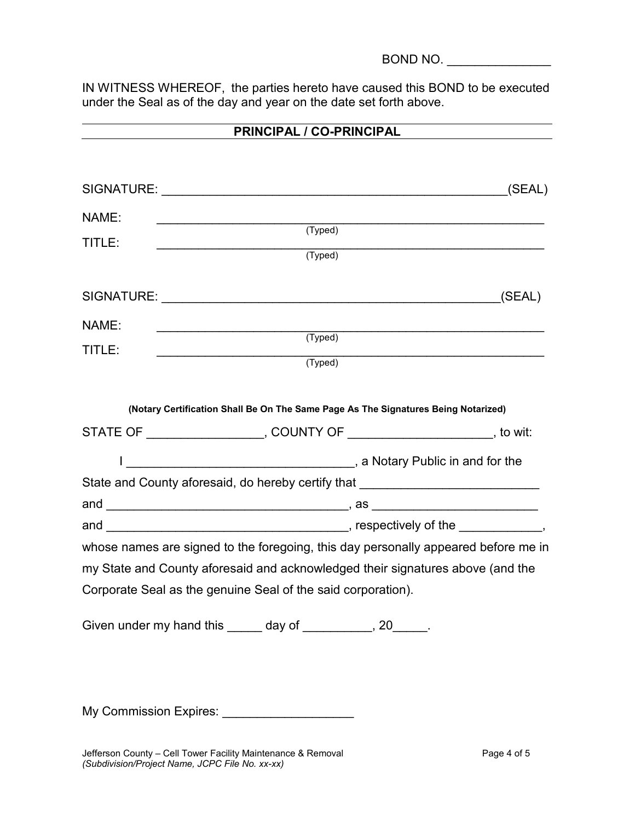BOND NO. \_\_\_\_\_\_\_\_\_\_\_\_\_\_\_

IN WITNESS WHEREOF, the parties hereto have caused this BOND to be executed under the Seal as of the day and year on the date set forth above.

| PRINCIPAL / CO-PRINCIPAL |                                                                                    |        |  |
|--------------------------|------------------------------------------------------------------------------------|--------|--|
|                          |                                                                                    |        |  |
|                          |                                                                                    | (SEAL) |  |
| NAME:<br>TITLE:          | (Typed)<br>(Typed)                                                                 |        |  |
|                          |                                                                                    |        |  |
| NAME:<br>TITLE:          | (Typed)<br>(Typed)                                                                 |        |  |
|                          | (Notary Certification Shall Be On The Same Page As The Signatures Being Notarized) |        |  |
|                          | STATE OF ____________________, COUNTY OF _________________________, to wit:        |        |  |
|                          |                                                                                    |        |  |
|                          | State and County aforesaid, do hereby certify that _____________________________   |        |  |
|                          |                                                                                    |        |  |
|                          | whose names are signed to the foregoing, this day personally appeared before me in |        |  |
|                          | my State and County aforesaid and acknowledged their signatures above (and the     |        |  |
|                          | Corporate Seal as the genuine Seal of the said corporation).                       |        |  |
|                          | Given under my hand this ______ day of __________, 20_____.                        |        |  |

My Commission Expires: \_\_\_\_\_\_\_\_\_\_\_

Jefferson County – Cell Tower Facility Maintenance & Removal **Page 4 of 5** Page 4 of 5 *(Subdivision/Project Name, JCPC File No. xx-xx)*